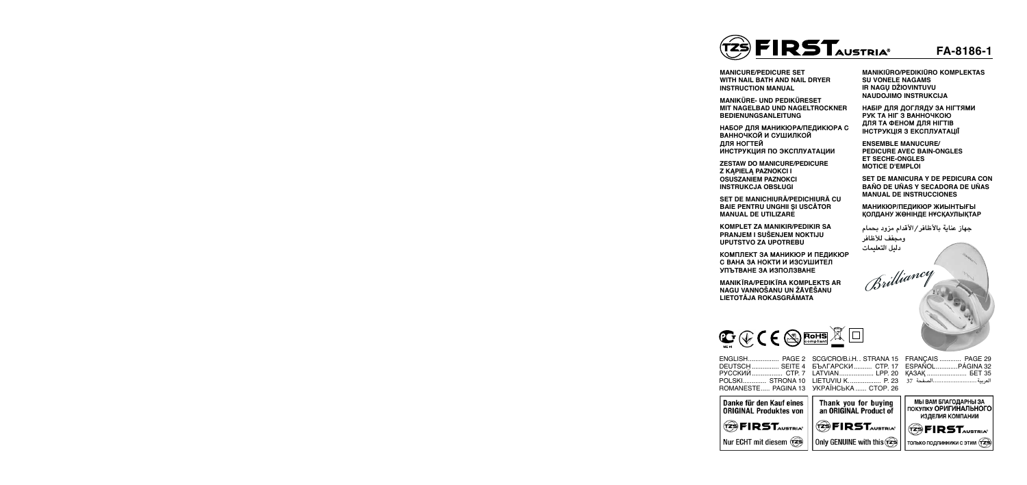



EN<sub>G</sub> DEUTSC<sub>1</sub> P<sub>y</sub>c pols  $ROM$ 

> Danke für den Kauf eines **ORIGINAL Produktes von**  $(2)$   $FIRST<sub>avstral</sub>$

| SCG/CRO/B.i.H., STRANA 15 |
|---------------------------|
| БЪЛГАРСКИ СТР. 17         |
| LATVIAN LPP. 20           |
| LIETUVIU K P. 23          |
| УКРАЇНСЬКА  СТОР. 26      |
|                           |



**НАБОР ДЛЯ МАНИКЮРА/ПЕДИКЮРА С ВАННОЧКОЙ И СУШИЛКОЙ ДЛЯ НОГТЕЙ ИНСТРУКЦИЯ ПО ЭКСПЛУАТАЦИИ** 

| FRANÇAIS  PAGE 29   |  |
|---------------------|--|
|                     |  |
| KA3AK <b>BET 35</b> |  |
| العربية الصفحة 37   |  |



**MANICURE/PEDICURE SET WITH NAIL BATH AND NAIL DRYER Instruction Manual**

**MANIKÜRE- UND PEDIKÜRESET MIT NAGELBAD UND NAGELTROCKNER Bedienungsanleitung**

**ZESTAW DO MANICURE/PEDICURE Z KĄPIELĄ PAZNOKCI I OSUSZANIEM PAZNOKCI INSTRUKCJA OBSŁUGI**

**SET DE MANICHIURĂ/PEDICHIURĂ CU BAIE PENTRU UNGHII ŞI USCĂTOR MANUAL DE UTILIZARE**

**KOMPLET ZA MANIKIR/PEDIKIR SA PRANJEM I SUŠENJEM NOKTIJU UPUTSTVO ZA UPOTREBU**

**КОМПЛЕКТ ЗА МАНИКЮР И ПЕДИКЮР С ВАНА ЗА НОКТИ И ИЗСУШИТЕЛ УПЪТВАНЕ ЗА ИЗПОЛЗВАНЕ**

**MANIKĪRA/PEDIKĪRA KOMPLEKTS AR NAGU VANNOŠANU UN ŽĀVĒŠANU LIETOTÅJA ROKASGRÅMATA**

**MANIKIŪRO/PEDIKIŪRO KOMPLEKTAS SU VONELE NAGAMS IR NAGŲ DŽIOVINTUVU NAUDOJIMO INSTRUKCIJA**

**НАБІР ДЛЯ ДОГЛЯДУ ЗА НІГТЯМИ РУК ТА НІГ З ВАННОЧКОЮ ДЛЯ ТА ФЕНОМ ДЛЯ НІГТІВ ІНСТРУКЦІЯ З ЕКСПЛУАТАЦІЇ**

**ENSEMBLE MANUCURE/ PEDICURE AVEC BAIN-ONGLES ET SECHE-ONGLES MOTICE D'EMPLOI**

**SET DE MANICURA Y DE PEDICURA CON BAÑO DE UÑAS Y SECADORA DE UÑAS MANUAL DE INSTRUCCIONES** 

**МАНИКЮР/ПЕДИКЮР ЖИЫНТЫҒЫ ҚОЛДАНУ ЖӨНІНДЕ НҰСҚАУЛЫҚТАР**

**جهاز عناية باألظافر/األقدام مزود بحمام ومجفف لألظافر دليل التعليمات**

Brilliancy

| 3LISH PAGE 2       |
|--------------------|
| JTSCH  SEITE 4     |
| ССКИЙ СТР. 7       |
| .SKI STRONA 10     |
| (AANESTE PAGINA 13 |
|                    |



Nur ECHT mit diesem  $\widehat{z}$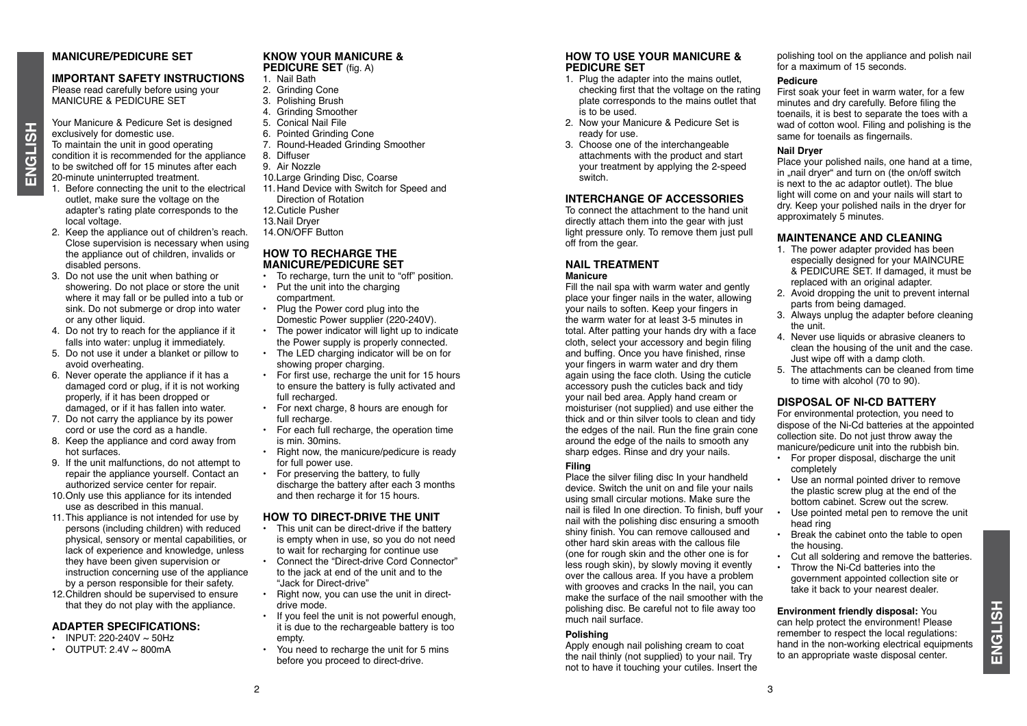#### **MANICURE/PEDICURE SET**

### **IMPORTANT SAFETY INSTRUCTIONS**

Please read carefully before using your MANICURE & PEDICURE SET

Your Manicure & Pedicure Set is designed exclusively for domestic use. To maintain the unit in good operating condition it is recommended for the appliance to be switched off for 15 minutes after each 20-minute uninterrupted treatment.

- 1. Before connecting the unit to the electrical outlet, make sure the voltage on the adapter's rating plate corresponds to the local voltage.
- 2. Keep the appliance out of children's reach. Close supervision is necessary when using the appliance out of children, invalids or disabled persons.
- 3. Do not use the unit when bathing or showering. Do not place or store the unit where it may fall or be pulled into a tub or sink. Do not submerge or drop into water or any other liquid.
- 4. Do not try to reach for the appliance if it falls into water: unplug it immediately.
- 5. Do not use it under a blanket or pillow to avoid overheating.
- 6. Never operate the appliance if it has a damaged cord or plug, if it is not working properly, if it has been dropped or damaged, or if it has fallen into water.
- 7. Do not carry the appliance by its power cord or use the cord as a handle.
- 8. Keep the appliance and cord away from hot surfaces.
- 9. If the unit malfunctions, do not attempt to repair the appliance yourself. Contact an authorized service center for repair.
- 10. Only use this appliance for its intended use as described in this manual.
- 11. This appliance is not intended for use by persons (including children) with reduced physical, sensory or mental capabilities, or lack of experience and knowledge, unless they have been given supervision or instruction concerning use of the appliance by a person responsible for their safety.
- 12. Children should be supervised to ensure that they do not play with the appliance.

#### **ADAPTER SPECIFICATIONS:**

- INPUT: 220-240V  $\sim$  50Hz
- OUTPUT:  $2.4V \approx 800 \text{mA}$

# **KNOW YOUR MANICURE &**

- **PEDICURE SET** (fig. A) 1. Nail Bath
- 2. Grinding Cone
- 3. Polishing Brush
- 4. Grinding Smoother
- 5. Conical Nail File
- 6. Pointed Grinding Cone
- 7. Round-Headed Grinding Smoother
- 8. Diffuser
- 9. Air Nozzle
- 10.Large Grinding Disc, Coarse
- 11. Hand Device with Switch for Speed and Direction of Rotation 12. Cuticle Pusher 13. Nail Dryer
- 14. ON/OFF Button

#### **HOW TO RECHARGE THE MANICURE/PEDICURE SET**

- To recharge, turn the unit to "off" position.
- Put the unit into the charging compartment.
- Plug the Power cord plug into the Domestic Power supplier (220-240V).
- The power indicator will light up to indicate the Power supply is properly connected.
- The LED charging indicator will be on for showing proper charging.
- For first use, recharge the unit for 15 hours to ensure the battery is fully activated and full recharged.
- For next charge, 8 hours are enough for full recharge.
- For each full recharge, the operation time is min. 30mins.
- Right now, the manicure/pedicure is ready for full power use.
- For preserving the battery, to fully discharge the battery after each 3 months and then recharge it for 15 hours.

#### **HOW TO DIRECT-DRIVE THE UNIT**

- This unit can be direct-drive if the battery is empty when in use, so you do not need to wait for recharging for continue use
- Connect the "Direct-drive Cord Connector" to the jack at end of the unit and to the "Jack for Direct-drive"
- Right now, you can use the unit in directdrive mode.
- If you feel the unit is not powerful enough, it is due to the rechargeable battery is too empty.
- You need to recharge the unit for 5 mins before you proceed to direct-drive.

#### **HOW TO USE YOUR MANICURE & PEDICURE SET**

- 1. Plug the adapter into the mains outlet, checking first that the voltage on the rating plate corresponds to the mains outlet that is to be used.
- 2. Now your Manicure & Pedicure Set is ready for use.
- 3. Choose one of the interchangeable attachments with the product and start your treatment by applying the 2-speed **switch**

#### **Interchange of Accessories**

To connect the attachment to the hand unit directly attach them into the gear with just light pressure only. To remove them just pull off from the gear.

#### **NAIL TREATMENT Manicure**

Fill the nail spa with warm water and gently place your finger nails in the water, allowing your nails to soften. Keep your fingers in the warm water for at least 3-5 minutes in total. After patting your hands dry with a face cloth, select your accessory and begin filing and buffing. Once you have finished, rinse your fingers in warm water and dry them again using the face cloth. Using the cuticle accessory push the cuticles back and tidy your nail bed area. Apply hand cream or moisturiser (not supplied) and use either the thick and or thin silver tools to clean and tidy the edges of the nail. Run the fine grain cone around the edge of the nails to smooth any sharp edges. Rinse and dry your nails.

#### **Filing**

Place the silver filing disc In your handheld device. Switch the unit on and file your nails using small circular motions. Make sure the nail is filed In one direction. To finish, buff your nail with the polishing disc ensuring a smooth shiny finish. You can remove calloused and other hard skin areas with the callous file (one for rough skin and the other one is for less rough skin), by slowly moving it evently over the callous area. If you have a problem with grooves and cracks In the nail, you can make the surface of the nail smoother with the polishing disc. Be careful not to file away too much nail surface.

#### **Polishing**

Apply enough nail polishing cream to coat the nail thinly (not supplied) to your nail. Try not to have it touching your cutiles. Insert the polishing tool on the appliance and polish nail for a maximum of 15 seconds.

#### **Pedicure**

First soak your feet in warm water, for a few minutes and dry carefully. Before filing the toenails, it is best to separate the toes with a wad of cotton wool. Filing and polishing is the same for toenails as fingernails.

#### **Nail Dryer**

Place your polished nails, one hand at a time, in "nail dryer" and turn on (the on/off switch is next to the ac adaptor outlet). The blue light will come on and your nails will start to dry. Keep your polished nails in the dryer for approximately 5 minutes.

#### **MAINTENANCE AND CLEANING**

- 1. The power adapter provided has been especially designed for your MAINCURE & PEDICURE SET. If damaged, it must be replaced with an original adapter.
- 2. Avoid dropping the unit to prevent internal parts from being damaged.
- 3. Always unplug the adapter before cleaning the unit.
- 4. Never use liquids or abrasive cleaners to clean the housing of the unit and the case. Just wipe off with a damp cloth.
- 5. The attachments can be cleaned from time to time with alcohol (70 to 90).

#### **DISPOSAL OF NI-CD BATTERY**

For environmental protection, you need to dispose of the Ni-Cd batteries at the appointed collection site. Do not just throw away the manicure/pedicure unit into the rubbish bin.

- For proper disposal, discharge the unit completely
- Use an normal pointed driver to remove the plastic screw plug at the end of the bottom cabinet. Screw out the screw.
- Use pointed metal pen to remove the unit head ring
- Break the cabinet onto the table to open the housing.
- Cut all soldering and remove the batteries.
- Throw the Ni-Cd batteries into the government appointed collection site or take it back to your nearest dealer.

**Environment friendly disposal:** You can help protect the environment! Please remember to respect the local regulations: hand in the non-working electrical equipments to an appropriate waste disposal center.

3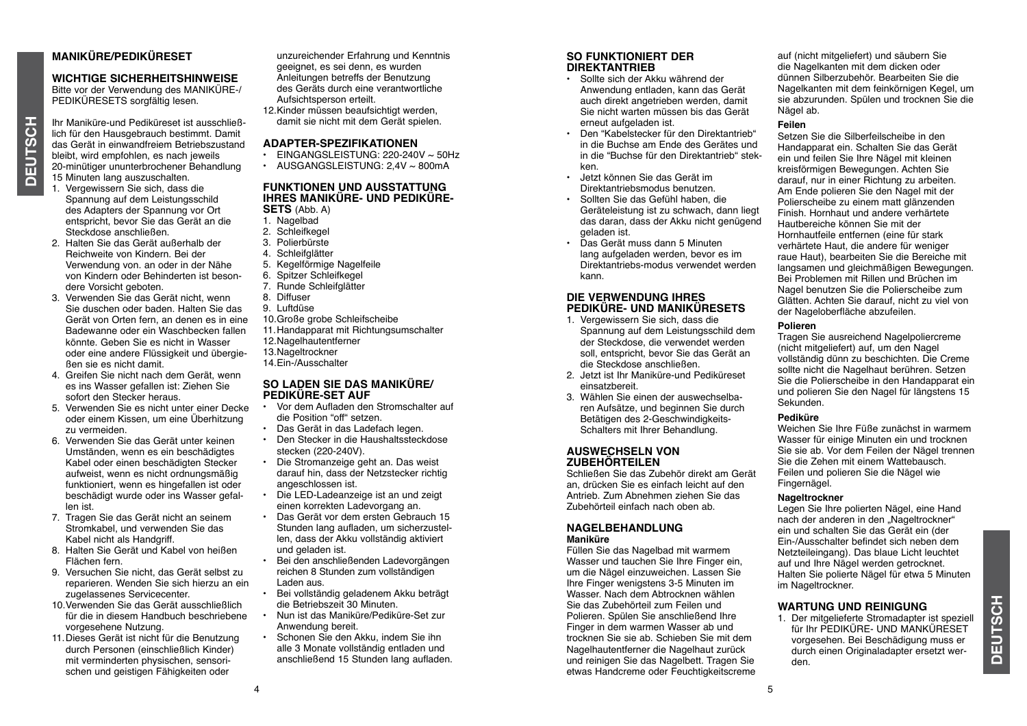# **MANIKÜRE/PEDIKÜRESET**

**WICHTIGE SICHERHEITSHINWEISE** Bitte vor der Verwendung des MANIKÜRE-/

PEDIKÜRESETS sorgfältig lesen.

Ihr Maniküre-und Pediküreset ist ausschließlich für den Hausgebrauch bestimmt. Damit das Gerät in einwandfreiem Betriebszustand bleibt, wird empfohlen, es nach jeweils 20-minütiger ununterbrochener Behandlung 15 Minuten lang auszuschalten.

- 1. Vergewissern Sie sich, dass die Spannung auf dem Leistungsschild des Adapters der Spannung vor Ort entspricht, bevor Sie das Gerät an die Steckdose anschließen.
- 2. Halten Sie das Gerät außerhalb der Reichweite von Kindern. Bei der Verwendung von. an oder in der Nähe von Kindern oder Behinderten ist besondere Vorsicht geboten.
- 3. Verwenden Sie das Gerät nicht, wenn Sie duschen oder baden. Halten Sie das Gerät von Orten fern, an denen es in eine Badewanne oder ein Waschbecken fallen könnte. Geben Sie es nicht in Wasser oder eine andere Flüssigkeit und übergießen sie es nicht damit.
- 4. Greifen Sie nicht nach dem Gerät, wenn es ins Wasser gefallen ist: Ziehen Sie sofort den Stecker heraus.
- 5. Verwenden Sie es nicht unter einer Decke oder einem Kissen, um eine Überhitzung zu vermeiden.
- 6. Verwenden Sie das Gerät unter keinen Umständen, wenn es ein beschädigtes Kabel oder einen beschädigten Stecker aufweist, wenn es nicht ordnungsmäßig funktioniert, wenn es hingefallen ist oder beschädigt wurde oder ins Wasser gefallen ist.
- 7. Tragen Sie das Gerät nicht an seinem Stromkabel, und verwenden Sie das Kabel nicht als Handgriff.
- 8. Halten Sie Gerät und Kabel von heißen Flächen fern.
- 9. Versuchen Sie nicht, das Gerät selbst zu reparieren. Wenden Sie sich hierzu an ein zugelassenes Servicecenter.
- 10. Verwenden Sie das Gerät ausschließlich für die in diesem Handbuch beschriebene vorgesehene Nutzung.
- 11. Dieses Gerät ist nicht für die Benutzung durch Personen (einschließlich Kinder) mit verminderten physischen, sensorischen und geistigen Fähigkeiten oder

unzureichender Erfahrung und Kenntnis geeignet, es sei denn, es wurden Anleitungen betreffs der Benutzung des Geräts durch eine verantwortliche Aufsichtsperson erteilt.

12. Kinder müssen beaufsichtigt werden, damit sie nicht mit dem Gerät spielen.

#### **ADAPTER-SPEZIFIKATIONEN**

- EINGANGSLEISTUNG: 220-240V ~ 50Hz
- $\cdot$  AUSGANGSLEISTUNG: 2.4V  $\sim$  800mA

#### **FUNKTIONEN UND AUSSTATTUNG IHRES MANIKÜRE- UND PEDIKÜRE-**

- **SETS** (Abb. A) 1. Nagelbad
- 2. Schleifkegel
- 
- 3. Polierbürste
- 4. Schleifglätter
- 5. Kegelförmige Nagelfeile
- 6. Spitzer Schleifkegel
- 7. Runde Schleifglätter
- 8. Diffuser
- 9. Luftdüse
- 10. Große grobe Schleifscheibe
- 11. Handapparat mit Richtungsumschalter 12. Nagelhautentferner
- 13. Nageltrockner
- 14.Ein-/Ausschalter

#### **SO LADEN SIE DAS MANIKÜRE/ PEDIKÜRE-SET AUF**

- Vor dem Aufladen den Stromschalter auf die Position "off" setzen.
- Das Gerät in das Ladefach legen.
- Den Stecker in die Haushaltssteckdose stecken (220-240V).
- Die Stromanzeige geht an. Das weist darauf hin, dass der Netzstecker richtig angeschlossen ist.
- Die Led-Ladeanzeige ist an und zeigt einen korrekten Ladevorgang an.
- Das Gerät vor dem ersten Gebrauch 15 Stunden lang aufladen, um sicherzustellen, dass der Akku vollständig aktiviert und geladen ist.
- Bei den anschließenden Ladevorgängen reichen 8 Stunden zum vollständigen Laden aus.
- Bei vollständig geladenem Akku beträgt die Betriebszeit 30 Minuten.
- Nun ist das Maniküre/Pediküre-Set zur Anwendung bereit.
- Schonen Sie den Akku, indem Sie ihn alle 3 Monate vollständig entladen und anschließend 15 Stunden lang aufladen.

#### **SO FUNKTIONIERT DER DIREKTANTRIEB**

- Sollte sich der Akku während der Anwendung entladen, kann das Gerät auch direkt angetrieben werden, damit Sie nicht warten müssen bis das Gerät erneut aufgeladen ist.
- Den "Kabelstecker für den Direktantrieb" in die Buchse am Ende des Gerätes und in die "Buchse für den Direktantrieb" stekken.
- Jetzt können Sie das Gerät im Direktantriebsmodus benutzen.
- Sollten Sie das Gefühl haben, die Geräteleistung ist zu schwach, dann liegt das daran, dass der Akku nicht genügend geladen ist.
- Das Gerät muss dann 5 Minuten lang aufgeladen werden, bevor es im Direktantriebs-modus verwendet werden kann.

#### **DIE VERWENDUNG IHRES PEDIKÜRE- UND MANIKÜRESETS**

- 1. Vergewissern Sie sich, dass die Spannung auf dem Leistungsschild dem der Steckdose, die verwendet werden soll, entspricht, bevor Sie das Gerät an die Steckdose anschließen.
- 2. Jetzt ist Ihr Maniküre-und Pediküreset einsatzbereit.
- 3. Wählen Sie einen der auswechselbaren Aufsätze, und beginnen Sie durch Betätigen des 2-Geschwindigkeits-Schalters mit Ihrer Behandlung.

#### **Auswechseln von Zubehörteilen**

Schließen Sie das Zubehör direkt am Gerät an, drücken Sie es einfach leicht auf den Antrieb. Zum Abnehmen ziehen Sie das Zubehörteil einfach nach oben ab.

#### **NAGELBEHANDLUNG Maniküre**

Füllen Sie das Nagelbad mit warmem Wasser und tauchen Sie Ihre Finger ein, um die Nägel einzuweichen. Lassen Sie Ihre Finger wenigstens 3-5 Minuten im Wasser. Nach dem Abtrocknen wählen Sie das Zubehörteil zum Feilen und Polieren. Spülen Sie anschließend Ihre Finger in dem warmen Wasser ab und trocknen Sie sie ab. Schieben Sie mit dem Nagelhautentferner die Nagelhaut zurück und reinigen Sie das Nagelbett. Tragen Sie etwas Handcreme oder Feuchtigkeitscreme auf (nicht mitgeliefert) und säubern Sie die Nagelkanten mit dem dicken oder dünnen Silberzubehör. Bearbeiten Sie die Nagelkanten mit dem feinkörnigen Kegel, um sie abzurunden. Spülen und trocknen Sie die Nägel ab.

#### **Feilen**

Setzen Sie die Silberfeilscheibe in den Handapparat ein. Schalten Sie das Gerät ein und feilen Sie Ihre Nägel mit kleinen kreisförmigen Bewegungen. Achten Sie darauf, nur in einer Richtung zu arbeiten. Am Ende polieren Sie den Nagel mit der Polierscheibe zu einem matt glänzenden Finish. Hornhaut und andere verhärtete Hautbereiche können Sie mit der Hornhautfeile entfernen (eine für stark verhärtete Haut, die andere für weniger raue Haut), bearbeiten Sie die Bereiche mit langsamen und gleichmäßigen Bewegungen. Bei Problemen mit Rillen und Brüchen im Nagel benutzen Sie die Polierscheibe zum Glätten. Achten Sie darauf, nicht zu viel von der Nageloberfläche abzufeilen.

#### **Polieren**

Tragen Sie ausreichend Nagelpoliercreme (nicht mitgeliefert) auf, um den Nagel vollständig dünn zu beschichten. Die Creme sollte nicht die Nagelhaut berühren. Setzen Sie die Polierscheibe in den Handapparat ein und polieren Sie den Nagel für längstens 15 Sekunden.

#### **Pediküre**

Weichen Sie Ihre Füße zunächst in warmem Wasser für einige Minuten ein und trocknen Sie sie ab. Vor dem Feilen der Nägel trennen Sie die Zehen mit einem Wattebausch. Feilen und polieren Sie die Nägel wie Fingernägel.

#### **Nageltrockner**

Legen Sie Ihre polierten Nägel, eine Hand nach der anderen in den "Nageltrockner" ein und schalten Sie das Gerät ein (der Ein-/Ausschalter befindet sich neben dem Netzteileingang). Das blaue Licht leuchtet auf und Ihre Nägel werden getrocknet. Halten Sie polierte Nägel für etwa 5 Minuten im Nageltrockner.

#### **WARTUNG UND REINIGUNG**

1. Der mitgelieferte Stromadapter ist speziell für Ihr PEDIKÜRE- UND MANKÜRESET vorgesehen. Bei Beschädigung muss er durch einen Originaladapter ersetzt werden.

ā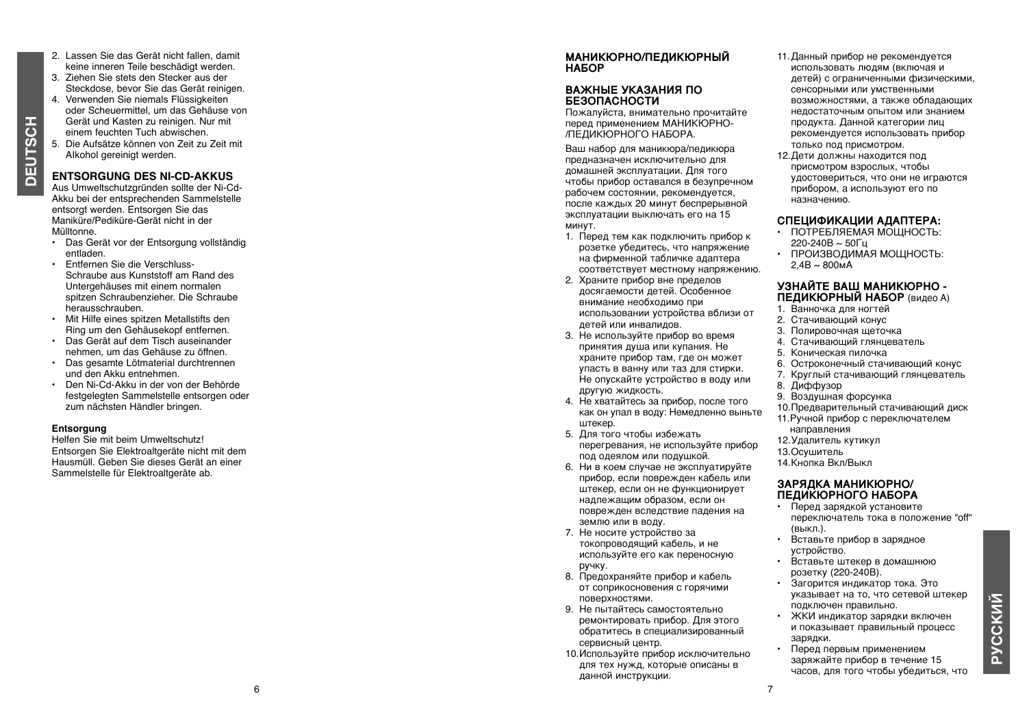- 2. Lassen Sie das Gerät nicht fallen, damit keine inneren Teile beschädigt werden.
- 3. Ziehen Sie stets den Stecker aus der Steckdose, bevor Sie das Gerät reinigen.
- 4. Verwenden Sie niemals Flüssigkeiten oder Scheuermittel, um das Gehäuse von Gerät und Kasten zu reinigen. Nur mit einem feuchten Tuch abwischen.
- 5. Die Aufsätze können von Zeit zu Zeit mit AIkohol gereinigt werden.

#### **ENTS ORGUNG DES NI-CD-AKKUS**

Aus Umweltschutzgründen sollte der Ni-Cd-Akku bei der entsprechenden Sammelstelle entsorgt werden. Entsorgen Sie das Maniküre/ Pediküre-Gerät nicht in der Mülltonne.

- Das Gerät vor der Entsorgung vollständig entladen.
- Entfernen Sie die Verschluss- Untergehäuses mit einem normalen spitzen Schraubenzieher. Die Schraube herausschrauben.
- Mit Hilfe eines spitzen Metallstifts den Ring um den Gehäusekopf entfernen.
- Das Gerät auf dem Tisch auseinander nehmen, um das Gehäuse zu öffnen.
- Das gesamte Lötmaterial durchtrennen und den Akku entnehmen.
- Den Ni-Cd-Akku in der von der Behörde festgelegten Sammelstelle entsorgen oder zum nächsten Händler bringen.

#### **Entsorgung**

**Deutsch**

**DEUTSCH** 

Helfen Sie mit beim Umweltschutz! Entsorgen Sie Elektroaltgeräte nicht mit dem Hausmüll. Geben Sie dieses Gerät an einer Sammelstelle für Elektroaltgeräte ab.

#### **МАНИКЮРНО/ПЕДИКЮРНЫЙ НАБОР**

#### **ВАЖНЫЕ УКАЗАНИЯ ПО БЕЗОПАСНОСТИ**

Пожалуйста, внимательно прочитайте перед применением МАНИКЮРНО- /ПЕДИКЮРНОГО НАБОРА.

Ваш набор для маникюра/педикюра предназначен исключительно для домашней эксплуатации. Для того чтобы прибор оставался в безупречном рабочем состоянии, рекомендуется, после каждых 20 минут беспрерывной эксплуатации выключать его на 15 минут.

- 1. Перед тем как подключить прибор к розетке убедитесь, что напряжение на фирменной табличке адаптера соответствует местному напряжению.
- 2. Храните прибор вне пределов досягаемости детей. Особенное внимание необходимо при использовании устройства вблизи от детей или инвалидов.
- 3. Не используйте прибор во время принятия душа или купания. Не храните прибор там, где он может упасть в ванну или таз для стирки. Не опускайте устройство в воду или другую жидкость.
- 4. Не хватайтесь за прибор, после того как он упал в воду: Немедленно выньте штекер.
- 5. Для того чтобы избежать перегревания, не используйте прибор под одеялом или подушкой.
- 6. Ни в коем случае не эксплуатируйте прибор, если поврежден кабель или штекер, если он не функционирует надлежащим образом, если он поврежден вследствие падения на землю или в воду.
- 7. Не носите устройство за токопроводящий кабель, и не используйте его как переносную ручку.
- 8. Предохраняйте прибор и кабель от соприкосновения с горячими поверхностями.
- 9. Не пытайтесь самостоятельно ремонтировать прибор. Для этого обратитесь в специализированный сервисный центр.
- 10.Используйте прибор исключительно для тех нужд, которые описаны в данной инструкции.
- 11.Данный прибор не рекомендуется использовать людям (включая и детей) с ограниченными физическими, сенсорными или умственными возможностями, а также обладающих недостаточным опытом или знанием продукта. Данной категории лиц рекомендуется использовать прибор только под присмотром.
- 12.Дети должны находится под присмотром взрослых, чтобы удостовериться, что они не играются прибором, а используют его по назначению.

#### **СПЕЦИФИКАЦИИ АДАПТЕРА:**

- ПОТРЕБЛЯЕМАЯ МОЩНОСТЬ: 220-240В ~ 50Гц
- ПРОИЗВОДИМАЯ МОЩНОСТЬ:  $2.4B \sim 800M$ А

#### **УЗНАЙТЕ ВАШ МАНИКЮРНО - ПЕДИКЮРНЫЙ НАБОР** (видео A)

- 1. Ванночка для ногтей
- 2. Стачивающий конус
- 3. Полировочная щеточка
- 4. Стачивающий глянцеватель
- 5. Коническая пилочка
- 6. Остроконечный стачивающий конус
- 7. Круглый стачивающий глянцеватель
- 8. Диффузор
- 9. Воздушная форсунка
- 10.Предварительный стачивающий диск
- 11.Ручной прибор с переключателем
- направления
- 12.Удалитель кутикул
- 13.Осушитель
- 14.Кнопка Вкл/Выкл

#### **ЗАРЯДКА МАНИКЮРНО/ ПЕДИКЮРНОГО НАБОРА**

- Перед зарядкой установите переключатель тока в положение "off" (выкл.).
- Вставьте прибор в зарядное устройство.
- Вставьте штекер в домашнюю розетку (220-240В).
- Загорится индикатор тока. Это указывает на то, что сетевой штекер подключен правильно.
- ЖКИ индикатор зарядки включен и показывает правильный процесс зарядки.
- Перед первым применением заряжайте прибор в течение 15 часов, для того чтобы убедиться, что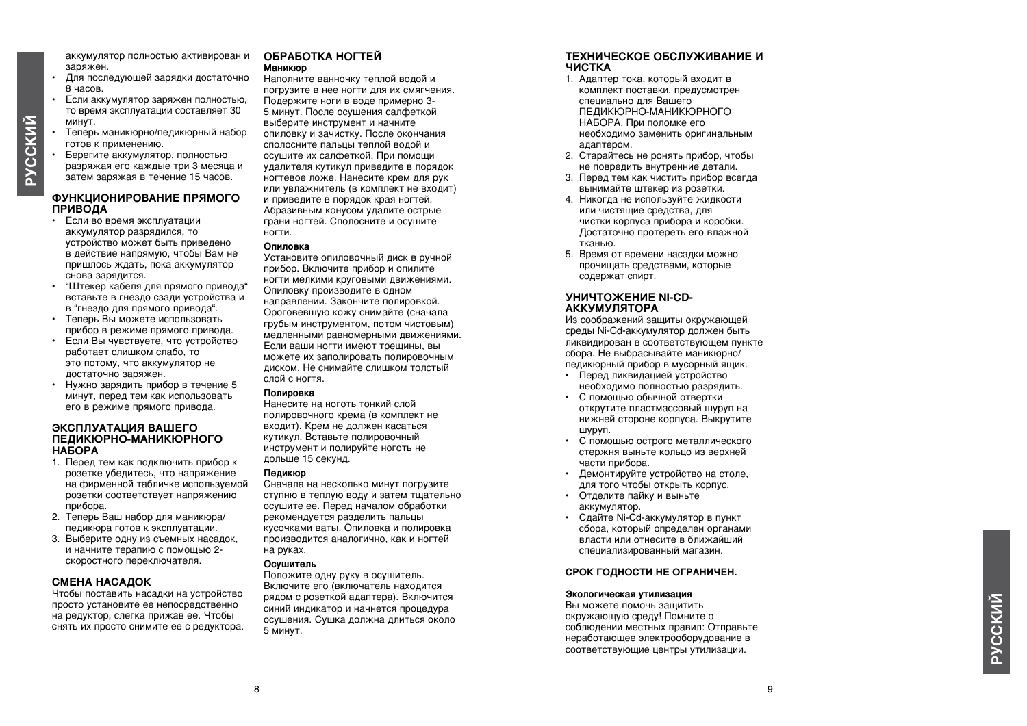аккумулятор полностью активирован и заряжен.

- Для последующей зарядки достаточно 8 часов.
- Если аккумулятор заряжен полностью, то время эксплуатации составляет 30 минут.
- Теперь маникюрно/педикюрный набор готов к применению.
- Берегите аккумулятор, полностью разряжая его каждые три 3 месяца и затем заряжая в течение 15 часов.

**PYCCKMŇ** 

#### **ФУНКЦИОНИРОВАНИЕ ПРЯМОГО ПРИВОДА**

- Если во время эксплуатации аккумулятор разрядился, то устройство может быть приведено в действие напрямую, чтобы Вам не пришлось ждать, пока аккумулятор снова зарядится.
- "Штекер кабеля для прямого привода" вставьте в гнездо сзади устройства и в "гнездо для прямого привода".
- Теперь Вы можете использовать прибор в режиме прямого привода.
- Если Вы чувствуете, что устройство работает слишком слабо, то это потому, что аккумулятор не достаточно заряжен.
- Нужно зарядить прибор в течение 5 минут, перед тем как использовать его в режиме прямого привода.

#### **ЭКСПЛУАТАЦИЯ ВАШЕГО ПЕДИКЮРНО-МАНИКЮРНОГО НАБОРА**

- 1. Перед тем как подключить прибор к розетке убедитесь, что напряжение на фирменной табличке используемой розетки соответствует напряжению прибора.
- 2. Теперь Ваш набор для маникюра/ педикюра готов к эксплуатации.
- 3. Выберите одну из съемных насадок, и начните терапию с помощью 2 скоростного переключателя.

#### **Смена насадок**

Чтобы поставить насадки на устройство просто установите ее непосредственно на редуктор, слегка прижав ее. Чтобы снять их просто снимите ее с редуктора.

#### **ОБРАБОТКА НОГТЕЙ Маникюр**

Наполните ванночку теплой водой и погрузите в нее ногти для их смягчения. Подержите ноги в воде примерно 3- 5 минут. После осушения салфеткой выберите инструмент и начните опиловку и зачистку. После окончания сполосните пальцы теплой водой и осушите их салфеткой. При помощи удалителя кутикул приведите в порядок ногтевое ложе. Нанесите крем для рук или увлажнитель (в комплект не входит) и приведите в порядок края ногтей. Абразивным конусом удалите острые грани ногтей. Сполосните и осушите ногти.

#### **Опиловка**

Установите опиловочный диск в ручной прибор. Включите прибор и опилите ногти мелкими круговыми движениями. Опиловку производите в одном направлении. Закончите полировкой. Ороговевшую кожу снимайте (сначала грубым инструментом, потом чистовым) медленными равномерными движениями. Если ваши ногти имеют трещины, вы можете их заполировать полировочным диском. Не снимайте слишком толстый слой с ногтя.

#### **Полировка**

Нанесите на ноготь тонкий слой полировочного крема (в комплект не входит). Крем не должен касаться кутикул. Вставьте полировочный инструмент и полируйте ноготь не дольше 15 секунд.

#### **Педикюр**

Сначала на несколько минут погрузите ступню в теплую воду и затем тщательно осушите ее. Перед началом обработки рекомендуется разделить пальцы кусочками ваты. Опиловка и полировка производится аналогично, как и ногтей на руках.

#### **Осушитель**

Положите одну руку в осушитель. Включите его (включатель находится рядом с розеткой адаптера). Включится синий индикатор и начнется процедура осушения. Сушка должна длиться около 5 минут.

#### **ТЕХНИЧЕСКОЕ ОБСЛУЖИВАНИЕ И ЧИСТКА**

- 1. Адаптер тока, который входит в комплект поставки, предусмотрен специально для Вашего ПЕДИКЮРНО-МАНИКЮРНОГО НАБОРА. При поломке его необходимо заменить оригинальным адаптером.
- 2. Старайтесь не ронять прибор, чтобы не повредить внутренние детали.
- 3. Перед тем как чистить прибор всегда вынимайте штекер из розетки.
- 4. Никогда не используйте жидкости или чистящие средства, для чистки корпуса прибора и коробки. Достаточно протереть его влажной тканью.
- 5. Время от времени насадки можно прочищать средствами, которые содержат спирт.

#### **УНИЧТОЖЕНИЕ NI-CD-АККУМУЛЯТОРА**

Из соображений защиты окружающей среды Ni-Cd-аккумулятор должен быть ликвидирован в соответствующем пункте сбора. Не выбрасывайте маникюрно/ педикюрный прибор в мусорный ящик.

- Перед ликвидацией устройство необходимо полностью разрядить.
- С помощью обычной отвертки открутите пластмассовый шуруп на нижней стороне корпуса. Выкрутите шуруп.
- С помощью острого металлического стержня выньте кольцо из верхней части прибора.
- Демонтируйте устройство на столе, для того чтобы открыть корпус.
- Отделите пайку и выньте аккумулятор.
- Сдайте Ni-Cd-аккумулятор в пункт сбора, который определен органами власти или отнесите в ближайший специализированный магазин.

#### **СРОК ГОДНОСТИ НЕ ОГРАНИЧЕН.**

#### **Экологическая утилизация**

Вы можете помочь защитить окружающую среду! Помните о соблюдении местных правил: Отправьте неработающее электрооборудование в соответствующие центры утилизации.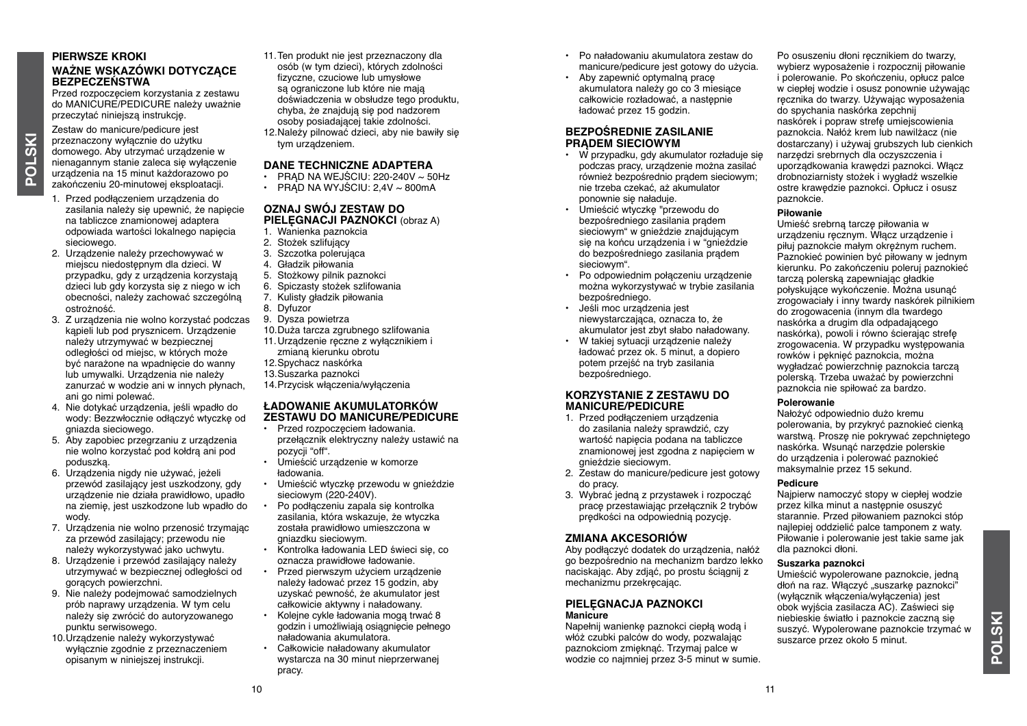#### **PIERWSZE KROKI WAŻNE WSKAZÓWKI DOTYCZĄCE BEZPECZEŃSTWA**

Przed rozpoczęciem korzystania z zestawu do MANICURE/PEDICURE należy uważnie przeczytać niniejszą instrukcję.

Zestaw do manicure/pedicure jest przeznaczony wyłącznie do użytku domowego. Aby utrzymać urządzenie w nienagannym stanie zaleca się wyłączenie urządzenia na 15 minut każdorazowo po zakończeniu 20-minutowej eksploatacji.

**POLSKI**

- 1. Przed podłączeniem urządzenia do zasilania należy się upewnić, że napięcie na tabliczce znamionowej adaptera odpowiada wartości lokalnego napięcia sieciowego.
- 2. Urządzenie należy przechowywać w miejscu niedostępnym dla dzieci. W przypadku, gdy z urządzenia korzystają dzieci lub gdy korzysta się z niego w ich obecności, należy zachować szczególną ostrożność.
- 3. Z urządzenia nie wolno korzystać podczas kąpieli lub pod prysznicem. Urządzenie należy utrzymywać w bezpiecznej odległości od miejsc, w których może być narażone na wpadnięcie do wanny lub umywalki. Urządzenia nie należy zanurzać w wodzie ani w innych płynach, ani go nimi polewać.
- 4. Nie dotykać urządzenia, jeśli wpadło do wody: Bezzwłocznie odłączyć wtyczkę od gniazda sieciowego.
- 5. Aby zapobiec przegrzaniu z urządzenia nie wolno korzystać pod kołdrą ani pod poduszką.
- 6. Urządzenia nigdy nie używać, jeżeli przewód zasilający jest uszkodzony, gdy urządzenie nie działa prawidłowo, upadło na ziemię, jest uszkodzone lub wpadło do wody.
- 7. Urządzenia nie wolno przenosić trzymając za przewód zasilający; przewodu nie należy wykorzystywać jako uchwytu.
- 8. Urządzenie i przewód zasilający należy utrzymywać w bezpiecznej odległości od gorących powierzchni.
- 9. Nie należy podejmować samodzielnych prób naprawy urządzenia. W tym celu należy się zwrócić do autoryzowanego punktu serwisowego.
- 10.Urządzenie należy wykorzystywać wyłącznie zgodnie z przeznaczeniem opisanym w niniejszej instrukcji.
- 11. Ten produkt nie jest przeznaczony dla osób (w tym dzieci), których zdolności fizyczne, czuciowe lub umysłowe są ograniczone lub które nie mają doświadczenia w obsłudze tego produktu, chyba, że znajdują się pod nadzorem osoby posiadającej takie zdolności.
- 12.Należy pilnować dzieci, aby nie bawiły się tym urządzeniem.

#### **DANE TECHNICZNE ADAPTERA**

- $\cdot$  PRAD NA WEJŚCIU: 220-240V  $\sim$  50Hz
- $\cdot$  PRAD NA WYJŚCIU: 2.4V ~ 800 mA

#### **OZNAJ SWÓJ ZESTAW DO PIELĘGNACJI PAZNOKCI** (obraz A)

- 1. Wanienka paznokcia
- 2. Stożek szlifujący
- 3. Szczotka polerująca
- 4. Gładzik piłowania
- 5. Stożkowy pilnik paznokci
- 6. Spiczasty stożek szlifowania
- 7. Kulisty gładzik piłowania
- 8. Dyfuzor
- 9. Dysza powietrza
- 10.Duża tarcza zgrubnego szlifowania
- 11.Urządzenie ręczne z wyłącznikiem i zmianą kierunku obrotu
- 12.Spychacz naskórka
- 13. Suszarka paznokci
- 14.Przycisk włączenia/wyłączenia

#### **ŁADOWANIE AKUMULATORKÓW ZESTAWU DO MANICURE/PEDICURE**

- Przed rozpoczęciem ładowania. przełącznik elektryczny należy ustawić na pozycji "off".
- Umieścić urządzenie w komorze ładowania.
- Umieścić wtyczkę przewodu w gnieździe sieciowym (220-240V).
- Po podłączeniu zapala się kontrolka zasilania, która wskazuje, że wtyczka została prawidłowo umieszczona w gniazdku sieciowym.
- Kontrolka ładowania LED świeci się, co oznacza prawidłowe ładowanie.
- Przed pierwszym użyciem urządzenie należy ładować przez 15 godzin, aby uzyskać pewność, że akumulator jest całkowicie aktywny i naładowany.
- Kolejne cykle ładowania mogą trwać 8 godzin i umożliwiają osiągnięcie pełnego naładowania akumulatora.
- Całkowicie naładowany akumulator wystarcza na 30 minut nieprzerwanej pracy.
- Po naładowaniu akumulatora zestaw do manicure/pedicure jest gotowy do użycia.
- Aby zapewnić optymalną pracę akumulatora należy go co 3 miesiące całkowicie rozładować, a następnie ładować przez 15 godzin.

#### **BEZPOŚREDNIE ZASILANIE PRĄDEM SIECIOWYM**

- W przypadku, gdy akumulator rozładuje się podczas pracy, urządzenie można zasilać również bezpośrednio prądem sieciowym; nie trzeba czekać, aż akumulator ponownie się naładuje.
- Umieścić wtyczkę "przewodu do bezpośredniego zasilania prądem sieciowym" w gnieździe znajdującym się na końcu urządzenia i w "gnieździe do bezpośredniego zasilania prądem sieciowym".
- Po odpowiednim połączeniu urządzenie można wykorzystywać w trybie zasilania bezpośredniego.
- Jeśli moc urządzenia jest niewystarczająca, oznacza to, że akumulator jest zbyt słabo naładowany.
- W takiej sytuacji urządzenie należy ładować przez ok. 5 minut, a dopiero potem przejść na tryb zasilania bezpośredniego.

#### **KORZYSTANIE Z ZESTAWU DO MANICURE/PEDICURE**

- 1. Przed podłączeniem urządzenia do zasilania należy sprawdzić, czy wartość napięcia podana na tabliczce znamionowej jest zgodna z napięciem w gnieździe sieciowym.
- 2. Zestaw do manicure/pedicure jest gotowy do pracy.
- 3. Wybrać jedną z przystawek i rozpocząć pracę przestawiając przełącznik 2 trybów prędkości na odpowiednią pozycję.

#### **Zmiana akcesoriów**

Aby podłączyć dodatek do urządzenia, nałóż go bezpośrednio na mechanizm bardzo lekko naciskając. Aby zdjąć, po prostu ściągnij z mechanizmu przekręcając.

#### **PIELĘGNACJA PAZNOKCI Manicure**

Napełnij wanienkę paznokci ciepłą wodą i włóż czubki palców do wody, pozwalając paznokciom zmięknąć. Trzymaj palce w wodzie co najmniej przez 3-5 minut w sumie. Po osuszeniu dłoni recznikiem do twarzy. wybierz wyposażenie i rozpocznij piłowanie i polerowanie. Po skończeniu, opłucz palce w ciepłej wodzie i osusz ponownie używając ręcznika do twarzy. Używając wyposażenia do spychania naskórka zepchnij naskórek i popraw strefę umiejscowienia paznokcia. Nałóż krem lub nawilżacz (nie dostarczany) i używaj grubszych lub cienkich narzędzi srebrnych dla oczyszczenia i uporządkowania krawędzi paznokci. Włącz drobnoziarnisty stożek i wygładź wszelkie ostre krawędzie paznokci. Opłucz i osusz paznokcie.

#### **Piłowanie**

Umieść srebrną tarczę piłowania w urządzeniu ręcznym. Włącz urządzenie i piłuj paznokcie małym okrężnym ruchem. Paznokieć powinien być piłowany w jednym kierunku. Po zakończeniu poleruj paznokieć tarczą polerską zapewniając gładkie połyskujące wykończenie. Można usunąć zrogowaciały i inny twardy naskórek pilnikiem do zrogowacenia (innym dla twardego naskórka a drugim dla odpadającego naskórka), powoli i równo ścierając strefę zrogowacenia. W przypadku występowania rowków i pęknięć paznokcia, można wygładzać powierzchnię paznokcia tarczą polerską. Trzeba uważać by powierzchni paznokcia nie spiłować za bardzo.

#### **Polerowanie**

Nałożyć odpowiednio dużo kremu polerowania, by przykryć paznokieć cienką warstwą. Proszę nie pokrywać zepchniętego naskórka. Wsunąć narzędzie polerskie do urządzenia i polerować paznokieć maksymalnie przez 15 sekund.

#### **Pedicure**

Najpierw namoczyć stopy w ciepłej wodzie przez kilka minut a następnie osuszyć starannie. Przed piłowaniem paznokci stóp najlepiej oddzielić palce tamponem z waty. Piłowanie i polerowanie jest takie same jak dla paznokci dłoni.

#### **Suszarka paznokci**

Umieścić wypolerowane paznokcie, jedną dłoń na raz. Włączyć "suszarkę paznokci" (wyłącznik włączenia/wyłączenia) jest obok wyjścia zasilacza AC). Zaświeci się niebieskie światło i paznokcie zaczną się suszyć. Wypolerowane paznokcie trzymać w suszarce przez około 5 minut.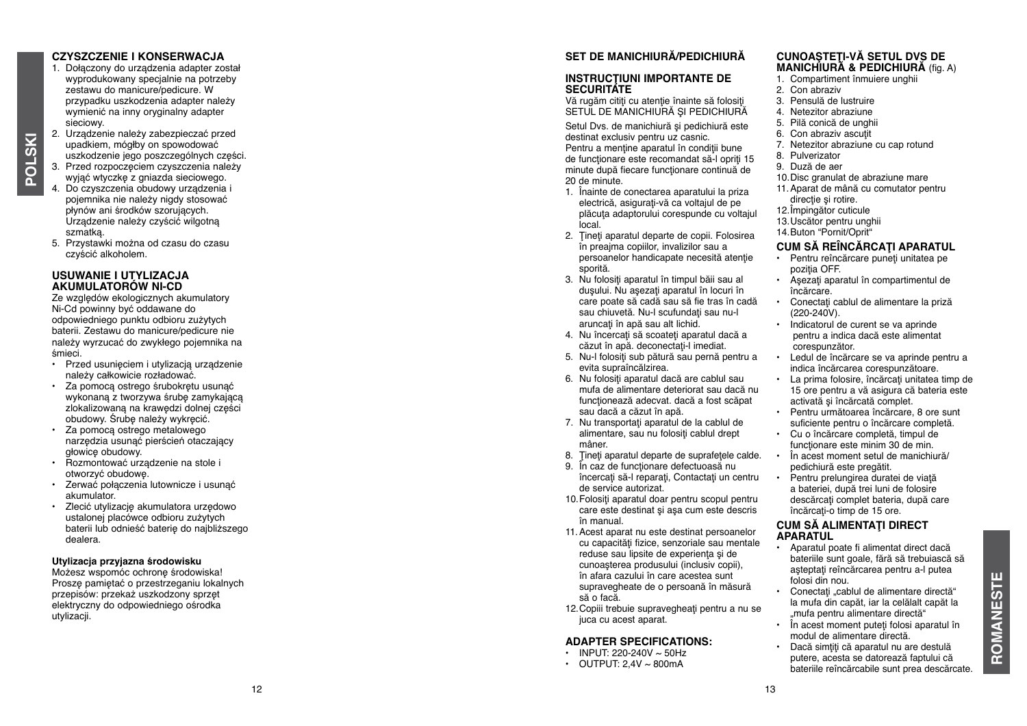#### **CZYSZCZENIE I K ONSERWACJA**

1. Dołączony do urządzenia adapter został wyprodukowany specjalnie na potrzeby zestawu do manicure/pedicure. W przypadku uszkodzenia adapter należy wymienić na inny oryginalny adapter sieciowy. 2. Urządzenie należy zabezpieczać przed

- upadkiem, mógłby on spowodować uszkodzenie jego poszczególnych części. 3. Przed rozpoczęciem czyszczenia należy
- wyjąć wtyczkę z gniazda sieciowego. 4. Do czyszczenia obudowy urządzenia i pojemnika nie należy nigdy stosować płynów ani środków szorujących. Urządzenie należy czyścić wilgotną
- szmatką. 5. Przystawki można od czasu do czasu czyścić alkoholem.

#### **USUWANIE I UTYLIZACJA AKUMULATORÓW NI-CD**

Ze względów ekologicznych akumulatory Ni-Cd powinny być oddawane do odpowiedniego punktu odbioru zużytych baterii. Zestawu do manicure/pedicure nie należy wyrzucać do zwykłego pojemnika na śmieci.

- Przed usunieciem i utvlizacia urządzenie należy całkowicie rozładować.
- Za pomocą ostrego śrubokrętu usunąć wykonaną z tworzywa śrubę zamykającą zlokalizowaną na krawędzi dolnej części obudowy. Śrubę należy wykręcić.
- Za pomocą ostrego metalowego narzędzia usunąć pierścień otaczający głowicę obudowy.
- Rozmontować urządzenie na stole i otworzyć obudowę.
- Zerwać połączenia lutownicze i usunąć akumulator.
- Zlecić utylizację akumulatora urzędowo ustalonej placówce odbioru zużytych baterii lub odnieść baterię do najbliższego dealera.

#### **Utylizacja przyjazna środowisku**

Możesz wspomóc ochronę środowiska! Proszę pamiętać o przestrzeganiu lokalnych przepisów: przekaż uszkodzony sprzęt elektryczny do odpowiedniego ośrodka utvlizacii.

#### **SET DE MANICHIURĂ/PEDICHIURĂ**

#### **INSTRUCŢIUNI IMPORTANTE DE SECURITATE**

Vă rugăm cititi cu atenție înainte să folosiți SETUL DE MANICHIURĂ ȘI PEDICHIURĂ

Setul Dvs. de manichiură și pedichiură este destinat exclusiv pentru uz casnic. Pentru a mentine aparatul în condiții bune de functionare este recomandat să-l opriți 15 minute după fiecare funcționare continuă de 20 de minute.

- 1. Înainte de conectarea aparatului la priza electrică, asigurați-vă ca voltajul de pe plăcuta adaptorului corespunde cu voltajul local.
- 2. Tineti aparatul departe de copii. Folosirea în preajma copiilor, invalizilor sau a persoanelor handicapate necesită atenție sporită.
- 3. Nu folositi aparatul în timpul băii sau al duşului. Nu asezati aparatul în locuri în care poate să cadă sau să fie tras în cadă sau chiuvetă. Nu-l scufundați sau nu-l aruncati în apă sau alt lichid.
- 4. Nu încercați să scoateți aparatul dacă a căzut în apă. deconectați-l imediat.
- 5. Nu-l folosiţi sub pătură sau pernă pentru a evita supraîncălzirea.
- 6. Nu folositi aparatul dacă are cablul sau mufa de alimentare deteriorat sau dacă nu functionează adecvat. dacă a fost scăpat sau dacă a căzut în apă.
- 7. Nu transportaţi aparatul de la cablul de alimentare, sau nu folositi cablul drept mâner.
- 8. Tineti aparatul departe de suprafetele calde.
- 9. În caz de functionare defectuoasă nu
- încercați să-l reparați, Contactați un centru de service autorizat.
- 10. Folositi aparatul doar pentru scopul pentru care este destinat şi aşa cum este descris în manual.
- 11. Acest aparat nu este destinat persoanelor cu capacități fizice, senzoriale sau mentale reduse sau lipsite de experienta si de cunoaşterea produsului (inclusiv copii), în afara cazului în care acestea sunt supravegheate de o persoană în măsură să o facă.
- 12. Copiii trebuie supravegheati pentru a nu se juca cu acest aparat.

#### **ADAPTER SPECIFICATI ONS:**

- INPUT: 220-240V  $\sim$  50Hz
- OUTPUT: 2,4V ~ 800m A

#### **CUNOAŞTEŢI-VĂ SETUL DVS DE MANICHIURĂ & PEDICHIURĂ** (fig. A)

- 1. Compartiment înmuiere unghii
- 2. Con abraziv
- 3. Pensulă de lustruire
- 4. Netezitor abraziune
- 5. Pilă conică de unghii
- 6. Con abraziv ascutit
- 7. Netezitor abraziune cu cap rotund
- 8. Pulverizator
- 9. Duză de aer
- 10. Disc granulat de abraziune mare
- 11.Aparat de mână cu comutator pentru directie si rotire.
- 12.Împingător cuticule
- 13.Uscător pentru unghii

#### 14.Buton " Pornit/ Oprit"

#### **CUM SĂ REÎNCĂRCAŢI APARATUL**

- Pentru reîncărcare puneți unitatea pe pozitia OFF.
- Asezati aparatul în compartimentul de încărcare.
- Conectaţi cablul de alimentare la priză (220-240V).
- Indicatorul de curent se va aprinde pentru a indica dacă este alimentat corespunzător.
- Ledul de încărcare se va aprinde pentru a indica încărcarea corespunzătoare.
- La prima folosire, încărcați unitatea timp de 15 ore pentru a vă asigura că bateria este activată şi încărcată complet.
- Pentru următoarea încărcare, 8 ore sunt suficiente pentru o încărcare completă.
- Cu o încărcare completă, timpul de functionare este minim 30 de min.
- În acest moment setul de manichiură/ pedichiură este pregătit.
- Pentru prelungirea duratei de viaţă a bateriei, după trei luni de folosire descărcați complet bateria, după care încărcaţi-o timp de 15 ore.

#### **CUM SĂ ALIMENTAŢI DIRECT APARATUL**

- Aparatul poate fi alimentat direct dacă bateriile sunt goale, fără să trebuiască să asteptați reîncărcarea pentru a-l putea folosi din nou.
- Conectați "cablul de alimentare directă" la mufa din capăt, iar la celălalt capăt la "mufa pentru alimentare directă"
- În acest moment puteti folosi aparatul în modul de alimentare directă.
- Dacă simțiți că aparatul nu are destulă putere, acesta se datorează faptului că bateriile reîncărcabile sunt prea descărcate.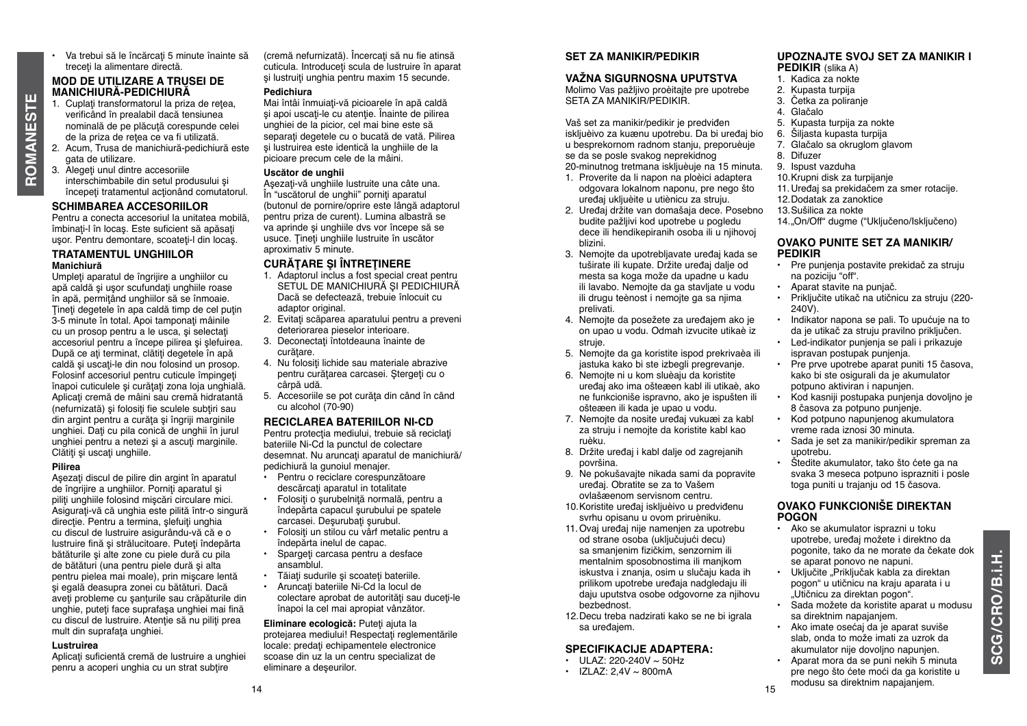- **ROMANESTE OMANESTE**
- Va trebui să le încărcați 5 minute înainte să treceți la alimentare directă.

#### **MOD DE UTILIZARE A TRUSEI DE MANICHIURĂ-PEDICHIURĂ**

- 1. Cuplati transformatorul la priza de retea verificând în prealabil dacă tensiunea nominală de pe plăcută corespunde celei de la priza de retea ce va fi utilizată.
- 2. Acum, Trusa de manichiură-pedichiură este gata de utilizare.
- 3. Alegeţi unul dintre accesoriile interschimbabile din setul produsului şi începeţi tratamentul acţionând comutatorul.

#### **Schimbarea accesoriilor**

Pentru a conecta accesoriul la unitatea mobilă, îmbinați-l în locas. Este suficient să apăsați usor. Pentru demontare, scoateți-l din locaș.

#### **TRATAMENTUL UNGHIILOR Manichiură**

Umpleţi aparatul de îngrijire a unghiilor cu apă caldă și usor scufundați unghiile roase în apă, permiţând unghiilor să se înmoaie. Ţineţi degetele în apa caldă timp de cel puţin 3-5 minute în total. Apoi tamponati mâinile cu un prosop pentru a le usca, si selectati accesoriul pentru a începe pilirea și slefuirea. După ce aţi terminat, clătiţi degetele în apă caldă și uscați-le din nou folosind un prosop. Folosinf accesoriul pentru cuticule împingeţi înapoi cuticulele şi curăţaţi zona loja unghială. Aplicaţi cremă de mâini sau cremă hidratantă (nefurnizată) și folositi fie sculele subțiri sau din argint pentru a curăţa şi îngriji marginile unghiei. Dati cu pila conică de unghii în jurul unghiei pentru a netezi şi a ascuţi marginile. Clătiţi şi uscaţi unghiile.

#### **Pilirea**

Asezati discul de pilire din argint în aparatul de îngrijire a unghiilor. Porniți aparatul și piliti unghiile folosind miscări circulare mici. Asiguraţi-vă că unghia este pilită într-o singură directie. Pentru a termina, slefuiti unghia cu discul de lustruire asigurându-vă că e o lustruire fină și strălucitoare. Puteți îndepărta bătăturile şi alte zone cu piele dură cu pila de bătături (una pentru piele dură și alta pentru pielea mai moale), prin mişcare lentă şi egală deasupra zonei cu bătături. Dacă aveţi probleme cu şanţurile sau crăpăturile din unghie, puteţi face suprafaşa unghiei mai fină cu discul de lustruire. Atenţie să nu piliţi prea mult din suprafaţa unghiei.

#### **Lustruirea**

Aplicati suficientă cremă de lustruire a unghiei penru a acoperi unghia cu un strat subtire

(cremă nefurnizată). Încercați să nu fie atinsă cuticula. Introduceți scula de lustruire în aparat si lustruiti unghia pentru maxim 15 secunde.

#### **Pedichiura**

Mai întâi înmuiați-vă picioarele în apă caldă şi apoi uscaţi-le cu atenţie. Înainte de pilirea unghiei de la picior, cel mai bine este să separaţi degetele cu o bucată de vată. Pilirea şi lustruirea este identică la unghiile de la picioare precum cele de la mâini.

#### **Uscător de unghii**

Așezați-vă unghiile lustruite una câte una. În "uscătorul de unghii" porniţi aparatul (butonul de pornire/oprire este lângă adaptorul pentru priza de curent). Lumina albastră se va aprinde şi unghiile dvs vor începe să se usuce. Tineți unghiile lustruite în uscător aproximativ 5 minute.

#### **CURĂŢARE ŞI ÎNTREŢINERE**

- 1. Adaptorul inclus a fost special creat pentru SETUL DE MANICHIURĂ ȘI PEDICHIURĂ Dacă se defectează, trebuie înlocuit cu adaptor original.
- 2. Evitati scăparea aparatului pentru a preveni deteriorarea pieselor interioare.
- 3. Deconectati întotdeauna înainte de curătare.
- 4. Nu folositi lichide sau materiale abrazive pentru curătarea carcasei. Stergeți cu o cârpă udă.
- 5. Accesoriile se pot curăta din când în când cu alcohol (70-90)

#### **RECICLAREA BATERIILOR NI-CD**

Pentru protecția mediului, trebuie să reciclați bateriile Ni-Cd la punctul de colectare desemnat. Nu aruncati aparatul de manichiură/ pedichiură la gunoiul menajer.

- Pentru o reciclare corespunzătoare descărcați aparatul in totalitate
- Folosiţi o şurubelniţă normală, pentru a îndepărta capacul şurubului pe spatele carcasei. Desurubati surubul.
- Folositi un stilou cu vårf metalic pentru a îndepărta inelul de capac.
- Spargeti carcasa pentru a desface ansamblul.
- Tăiati sudurile și scoateti bateriile.
- Aruncati bateriile Ni-Cd la locul de colectare aprobat de autorități sau duceți-le înapoi la cel mai apropiat vânzător.

**Eliminare ecologică: Puteți ajuta la** protejarea mediului! Respectați reglementările **locale: predati echipamentele electronice** scoase din uz la un centru specializat de eliminare a deşeurilor.

#### **SET ZA MANIKIR/PEDIKIR**

#### **VAŽNA SIGURNOSNA UPUTSTVA**

Molimo Vas pažljivo proèitajte pre upotrebe SETA ZA MANIKIR/PEDIKIR.

Vaš set za manikir/pedikir je predviđen iskljuèivo za kuænu upotrebu. Da bi uređaj bio u besprekornom radnom stanju, preporuèuje se da se posle svakog neprekidnog 20-minutnog tretmana iskljuèuje na 15 minuta.

- 1. Proverite da li napon na ploèici adaptera odgovara lokalnom naponu, pre nego što uređaj ukljuèite u utiènicu za struju.
- 2. Uređaj držite van domašaja dece. Posebno budite pažljivi kod upotrebe u pogledu dece ili hendikepiranih osoba ili u njihovoj blizini.
- 3. Nemojte da upotrebljavate uređaj kada se tuširate ili kupate. Držite uređaj dalje od mesta sa koga može da upadne u kadu ili lavabo. Nemojte da ga stavljate u vodu ili drugu teènost i nemojte ga sa njima prelivati.
- 4. Nemojte da posežete za uređajem ako je on upao u vodu. Odmah izvucite utikaè iz struje.
- 5. Nemojte da ga koristite ispod prekrivaèa ili jastuka kako bi ste izbegli pregrevanje.
- 6. Nemojte ni u kom sluèaju da koristite uređaj ako ima ošteæen kabl ili utikaè, ako ne funkcioniše ispravno, ako je ispušten ili ošteæen ili kada je upao u vodu.
- 7. Nemojte da nosite uređaj vukuæi za kabl za struju i nemojte da koristite kabl kao ruèku.
- 8. Držite uređaj i kabl dalje od zagrejanih površina.
- 9. Ne pokušavajte nikada sami da popravite uređaj. Obratite se za to Vašem ovlašæenom servisnom centru.
- 10.Koristite uređaj iskljuèivo u predviđenu svrhu opisanu u ovom priruèniku.
- 11.Ovaj uređaj nije namenjen za upotrebu od strane osoba (uključujući decu) sa smanjenim fizičkim, senzornim ili mentalnim sposobnostima ili manjkom iskustva i znanja, osim u slučaju kada ih prilikom upotrebe uređaja nadgledaju ili daju uputstva osobe odgovorne za njihovu bezbednost.
- 12. Decu treba nadzirati kako se ne bi igrala sa uređajem.

#### **SPECIFIKACIJE ADAPTERA:**

• ULAZ:  $220 - 240V \sim 50Hz$  $\cdot$  IZLAZ: 2,4V  $\sim$  800mA

- **UPOZNAJTE SVOJ SET ZA MANIKIR I**
- **PEDIKIR** (slika A) 1. Kadica za nokte
- 2. Kupasta turpija
- 3. Četka za poliranje
- 4. Glačalo
- 5. Kupasta turpija za nokte
- 6. Šiljasta kupasta turpija
- 7. Glačalo sa okruglom glavom
- 8. Difuzer
- 9. Ispust vazduha
- 10. Krupni disk za turpijanje
- 11.Uređaj sa prekidačem za smer rotacije.
- 12. Dodatak za zanoktice
- 13. Sušilica za nokte
- 14."On/Off" dugme ("Uključeno/Isključeno)

#### **OVAKO PUNITE SET ZA MANIKIR/ PEDIKIR**

- Pre punjenja postavite prekidač za struju na poziciju "off".
- Aparat stavite na punjač.
- Priključite utikač na utičnicu za struju (220- 240V).
- Indikator napona se pali. To upućuje na to da je utikač za struju pravilno priključen.
- Led-indikator punjenja se pali i prikazuje ispravan postupak punjenja.
- Pre prve upotrebe aparat puniti 15 časova, kako bi ste osigurali da je akumulator potpuno aktiviran i napunjen.
- Kod kasniji postupaka punjenja dovoljno je 8 časova za potpuno punjenje.
- Kod potpuno napunjenog akumulatora vreme rada iznosi 30 minuta.
- Sada je set za manikir/pedikir spreman za upotrebu.
- Štedite akumulator, tako što ćete ga na svaka 3 meseca potpuno isprazniti i posle toga puniti u trajanju od 15 časova.

#### **OVAKO FUNKCIONIŠE DIREKTAN POGON**

- Ako se akumulator isprazni u toku upotrebe, uređaj možete i direktno da pogonite, tako da ne morate da čekate dok se aparat ponovo ne napuni.
- Uključite "Priključak kabla za direktan pogon" u utičnicu na kraju aparata i u "Utičnicu za direktan pogon".
- Sada možete da koristite aparat u modusu sa direktnim napajanjem.
	- Ako imate osećaj da je aparat suviše slab, onda to može imati za uzrok da akumulator nije dovoljno napunjen. • Aparat mora da se puni nekih 5 minuta
- pre nego što ćete moći da ga koristite u modusu sa direktnim napajanjem.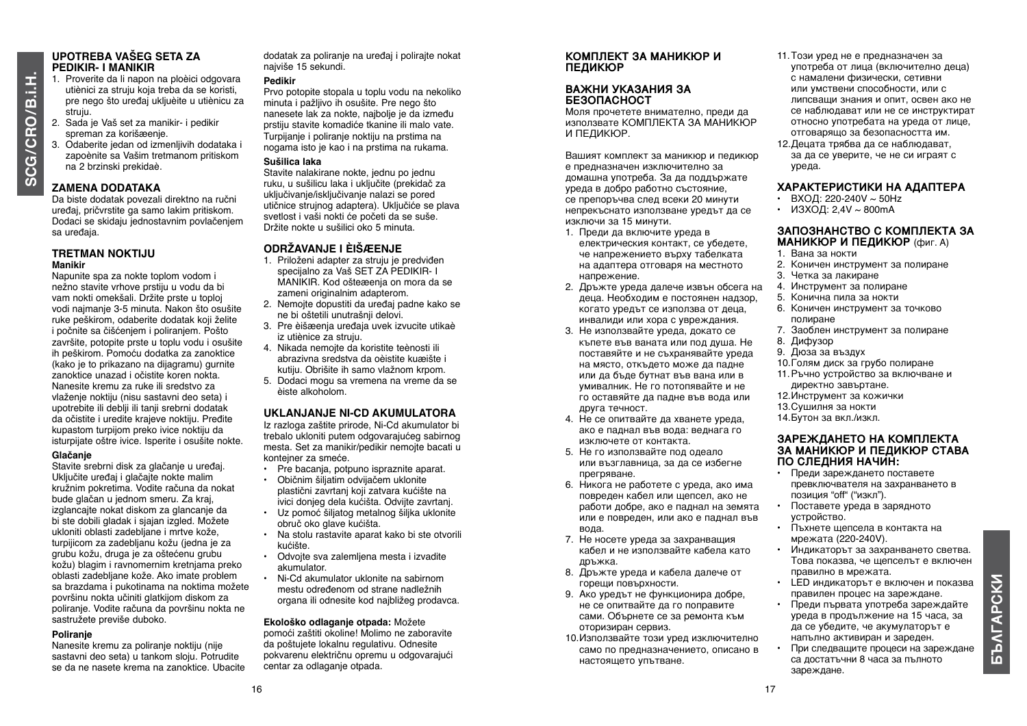# **O /B.i.H.**

#### **UPOTREBA VAŠEG SETA ZA PEDIKIR- I MANIKIR**

- 1. Proverite da li napon na ploèici odgovara utiènici za struju koja treba da se koristi, pre nego što uređaj ukljuèite u utiènicu za struju.
- 2. Sada je Vaš set za manikir- i pedikir spreman za korišæenje.
- 3. Odaberite jedan od izmenljivih dodataka i zapoènite sa Vašim tretmanom pritiskom na 2 brzinski prekidaè.

# **Zamena dodataka**

Da biste dodatak povezali direktno na ručni uređaj, pričvrstite ga samo lakim pritiskom. Dodaci se skidaju jednostavnim povlačenjem sa uređaja.

#### **TRETMAN NOKTIJU Manikir**

Napunite spa za nokte toplom vodom i nežno stavite vrhove prstiju u vodu da bi vam nokti omekšali. Držite prste u toploj vodi najmanje 3-5 minuta. Nakon što osušite ruke peškirom, odaberite dodatak koji želite i počnite sa čišćenjem i poliranjem. Pošto završite, potopite prste u toplu vodu i osušite ih peškirom. Pomoću dodatka za zanoktice (kako je to prikazano na dijagramu) gurnite zanoktice unazad i očistite koren nokta. Nanesite kremu za ruke ili sredstvo za vlaženje noktiju (nisu sastavni deo seta) i upotrebite ili deblji ili tanji srebrni dodatak da očistite i uredite krajeve noktiju. Pređite kupastom turpijom preko ivice noktiju da isturpijate oštre ivice. Isperite i osušite nokte.

#### **Glačanje**

Stavite srebrni disk za glačanie u uređaj. Uključite uređaj i glačajte nokte malim kružnim pokretima. Vodite računa da nokat bude glačan u jednom smeru. Za kraj, izglancajte nokat diskom za glancanje da bi ste dobili gladak i sjajan izgled. Možete ukloniti oblasti zadebljane i mrtve kože, turpijicom za zadebljanu kožu (jedna je za grubu kožu, druga je za oštećenu grubu kožu) blagim i ravnomernim kretnjama preko oblasti zadebljane kože. Ako imate problem sa brazdama i pukotinama na noktima možete površinu nokta učiniti glatkijom diskom za poliranje. Vodite računa da površinu nokta ne sastružete previše duboko.

# **Poliranje**

Nanesite kremu za poliranje noktiju (nije sastavni deo seta) u tankom sloju. Potrudite se da ne nasete krema na zanoktice. Ubacite

dodatak za poliranje na uređaj i polirajte nokat najviše 15 sekundi.

#### **Pedikir**

Prvo potopite stopala u toplu vodu na nekoliko minuta i pažljivo ih osušite. Pre nego što nanesete lak za nokte, najbolje je da između prstiju stavite komadiće tkanine ili malo vate. Turpijanje i poliranje noktiju na prstima na nogama isto je kao i na prstima na rukama.

### **Sušilica laka**

Stavite nalakirane nokte, jednu po jednu ruku, u sušilicu laka i uključite (prekidač za uključivanje/isključivanje nalazi se pored utičnice strujnog adaptera). Uključiće se plava svetlost i vaši nokti će početi da se suše. Držite nokte u sušilici oko 5 minuta.

# **ODRŽAVANJE I ÈIŠæENJE**

- 1. Priloženi adapter za struju je predviđen specijalno za Vaš SET ZA PEDIKIR- I MANIKIR. Kod ošteæenja on mora da se zameni originalnim adapterom.
- 2. Nemojte dopustiti da uređaj padne kako se ne bi oštetili unutrašnji delovi.
- 3. Pre èišæenja uređaja uvek izvucite utikaè iz utiènice za struju.
- 4. Nikada nemojte da koristite teènosti ili abrazivna sredstva da oèistite kuæište i kutiju. Obrišite ih samo vlažnom krpom.
- 5. Dodaci mogu sa vremena na vreme da se èiste alkoholom.

# **UKLANJANJE NI-CD AKUMULATORA**

Iz razloga zaštite prirode, Ni-Cd akumulator bi trebalo ukloniti putem odgovarajućeg sabirnog mesta. Set za manikir/pedikir nemojte bacati u kontejner za smeće.

- Pre bacanja, potpuno ispraznite aparat.
- Običnim šiljatim odvijačem uklonite plastični zavrtanj koji zatvara kućište na ivici donjeg dela kućišta. Odvijte zavrtanj.
- Uz pomoć šiljatog metalnog šiljka uklonite obruč oko glave kućišta.
- Na stolu rastavite aparat kako bi ste otvorili kućište.
- Odvojte sva zalemljena mesta i izvadite akumulator.
- Ni-Cd akumulator uklonite na sabirnom mestu određenom od strane nadležnih organa ili odnesite kod najbližeg prodavca.

# **Ekološko odlaganje otpada:** Možete

pomoći zaštiti okoline! Molimo ne zaboravite da poštujete lokalnu regulativu. Odnesite pokvarenu električnu opremu u odgovarajući centar za odlaganje otpada.

#### **КОМПЛЕКТ ЗА МАНИКЮР И ПЕДИКЮР**

#### **ВАЖНИ УКАЗАНИЯ ЗА БЕЗОПАСНОСТ**

Моля прочетете внимателно, преди да използвате КОМПЛЕКТА ЗА МАНИКЮР И ПЕДИКЮР.

Вашият комплект за маникюр и педикюр е предназначен изключително за домашна употреба. За да поддържате уреда в добро работно състояние, се препоръчва след всеки 20 минути непрекъснато използване уредът да се изключи за 15 минути.

- 1. Преди да включите уреда в електрическия контакт, се убедете, че напрежението върху табелката на адаптера отговаря на местното напрежение.
- 2. Дръжте уреда далече извън обсега на деца. Необходим е постоянен надзор, когато уредът се използва от деца, инвалиди или хора с увреждания.
- 3. Не използвайте уреда, докато се къпете във ваната или под душа. Не поставяйте и не съхранявайте уреда на място, откъдето може да падне или да бъде бутнат във вана или в умивалник. Не го потопявайте и не го оставяйте да падне във вода или друга течност.
- 4. Не се опитвайте да хванете уреда, ако е паднал във вода: веднага го изключете от контакта.
- 5. Не го използвайте под одеало или възглавница, за да се избегне прегряване.
- 6. Никога не работете с уреда, ако има повреден кабел или щепсел, ако не работи добре, ако е паднал на земята или е повреден, или ако е паднал във вода.
- 7. Не носете уреда за захранващия кабел и не използвайте кабела като дръжка.
- 8. Дръжте уреда и кабела далече от горещи повърхности.
- 9. Ако уредът не функционира добре, не се опитвайте да го поправите сами. Обърнете се за ремонта към оторизиран сервиз.
- 10.Използвайте този уред изключително само по предназначението, описано в настоящето упътване.
- 11.Този уред не е предназначен за употреба от лица (включително деца) с намалени физически, сетивни или умствени способности, или с липсващи знания и опит, освен ако не се наблюдават или не се инструктират относно употребата на уредa от лице, отговарящо за безопасността им.
- 12.Децата трябва да се наблюдават, за да се уверите, че не си играят с уреда.

# **ХАРАКТЕРИСТИКИ НА АДАПТЕРА**

- ВХОД: 220-240V  $\sim$  50Hz
- ИЗХОД: 2,4V  $\sim$  800mA

#### **ЗАПОЗНАНСТВО С КОМПЛЕКТА ЗА МАНИКЮР И ПЕДИКЮР** (фиг. A)

- 1. Вана за нокти
- 2. Коничен инструмент за полиране
- 3. Четка за лакиране
- 4. Инструмент за полиране
- 5. Конична пила за нокти 6. Коничен инструмент за точково
- полиране
- 7. Заоблен инструмент за полиране
- 8. Дифузор
- 9. Дюза за въздух
- 10.Голям диск за грубо полиране
- 11.Ръчно устройство за включване и директно завъртане.
- 12.Инструмент за кожички
- 13.Сушилня за нокти 14.Бутон за вкл./изкл.

#### **ЗАРЕЖДАНЕТО НА КОМПЛЕКТА ЗА МАНИКЮР И ПЕДИКЮР СТАВА ПО СЛЕДНИЯ НАЧИН:**

- Преди зареждането поставете превключвателя на захранването в позиция "off" ("изкл").
- Поставете уреда в зарядното устройство.
- Пъхнете щепсела в контакта на мрежата (220-240V).
- Индикаторът за захранването светва. Това показва, че щепселът е включен правилно в мрежата.
- LED индикаторът е включен и показва правилен процес на зареждане.
- Преди първата употреба зареждайте уреда в продължение на 15 часа, за да се убедите, че акумулаторът е напълно активиран и зареден.
- При следващите процеси на зареждане са достатъчни 8 часа за пълното зареждане.

**БЪΛГАРСКИ**

**SBATAPCKN**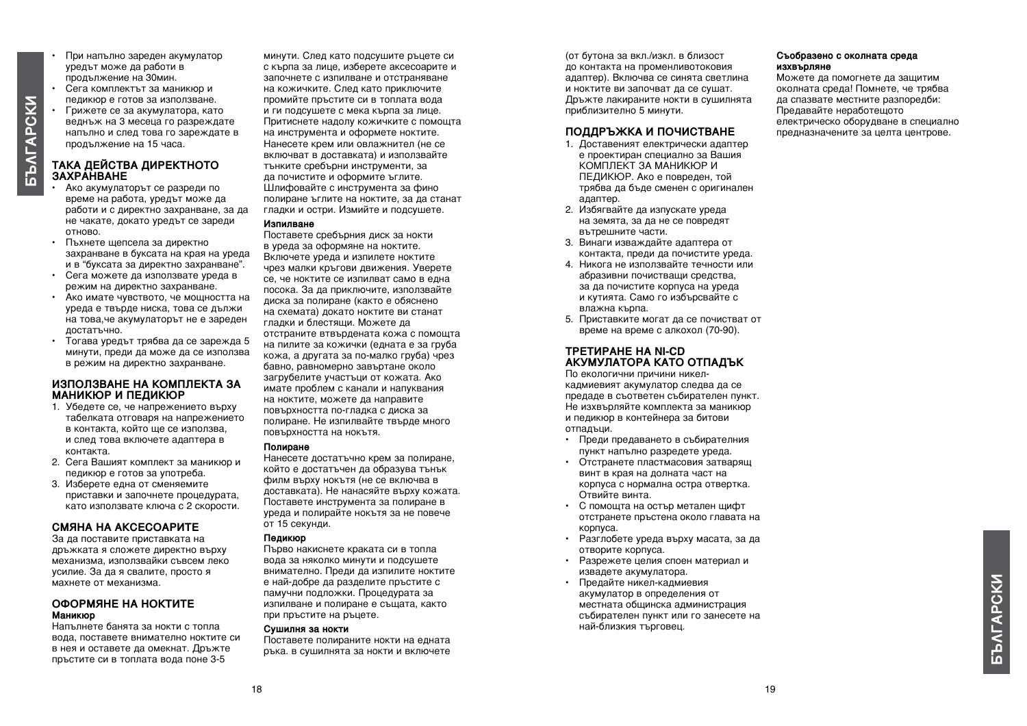- При напълно зареден акумулатор уредът може да работи в продължение на 30мин. • Сега комплектът за маникюр и педикюр е готов за използване.
- **STATAPCKN БЪΛГАРСКИ**

#### **ТАКА ДЕЙСТВА ДИРЕКТНОТО ЗАХРАНВАНЕ**

продължение на 15 часа.

• Грижете се за акумулатора, като веднъж на 3 месеца го разреждате напълно и след това го зареждате в

- Ако акумулаторът се разреди по време на работа, уредът може да работи и с директно захранване, за да не чакате, докато уредът се зареди отново.
- Пъхнете щепсела за директно захранване в буксата на края на уреда и в "буксата за директно захранване".
- Сега можете да използвате уреда в режим на директно захранване.
- Ако имате чувството, че мощността на уреда е твърде ниска, това се дължи на това,че акумулаторът не е зареден достатъчно.
- Тогава уредът трябва да се зарежда 5 минути, преди да може да се използва в режим на директно захранване.

#### **ИЗПОЛЗВАНЕ НА КОМПЛЕКТА ЗА МАНИКЮР И ПЕДИКЮР**

- 1. Убедете се, че напрежението върху табелката отговаря на напрежението в контакта, който ще се използва, и след това включете адаптера в контакта.
- 2. Сега Вашият комплект за маникюр и педикюр е готов за употреба.
- 3. Изберете една от сменяемите приставки и започнете процедурата, като използвате ключа с 2 скорости.

#### **Смяна на аксесоарите**

За да поставите приставката на дръжката я сложете директно върху механизма, използвайки съвсем леко усилие. За да я свалите, просто я махнете от механизма.

#### **ОФОРМЯНЕ НА НОКТИТЕ Маникюр**

Напълнете банята за нокти с топла вода, поставете внимателно ноктите си в нея и оставете да омекнат. Дръжте пръстите си в топлата вода поне 3-5

минути. След като подсушите ръцете си с кърпа за лице, изберете аксесоарите и започнете с изпилване и отстраняване на кожичките. След като приключите промийте пръстите си в топлата вода и ги подсушете с мека кърпа за лице. Притиснете надолу кожичките с помощта на инструмента и оформете ноктите. Нанесете крем или овлажнител (не се включват в доставката) и използвайте тънките сребърни инструменти, за да почистите и оформите ъглите. Шлифовайте с инструмента за фино полиране ъглите на ноктите, за да станат гладки и остри. Измийте и подсушете.

#### **Изпилване**

Поставете сребърния диск за нокти в уреда за оформяне на ноктите. Включете уреда и изпилете ноктите чрез малки кръгови движения. Уверете се, че ноктите се изпилват само в една посока. За да приключите, използвайте диска за полиране (както е обяснено на схемата) докато ноктите ви станат гладки и блестящи. Можете да отстраните втвърдената кожа с помощта на пилите за кожички (едната е за груба кожа, а другата за по-малко груба) чрез бавно, равномерно завъртане около загрубелите участъци от кожата. Ако имате проблем с канали и напуквания на ноктите, можете да направите повърхността по-гладка с диска за полиране. Не изпилвайте твърде много повърхността на нокътя.

#### **Полиране**

Нанесете достатъчно крем за полиране, който е достатъчен да образува тънък филм върху нокътя (не се включва в доставката). Не нанасяйте върху кожата. Поставете инструмента за полиране в уреда и полирайте нокътя за не повече от 15 секунди.

#### **Педикюр**

Първо накиснете краката си в топла вода за няколко минути и подсушете внимателно. Преди да изпилите ноктите е най-добре да разделите пръстите с памучни подложки. Процедурата за изпилване и полиране е същата, както при пръстите на ръцете.

#### **Сушилня за нокти**

Поставете полираните нокти на едната ръка. в сушилнята за нокти и включете (от бутона за вкл./изкл. в близост до контакта на променливотоковия адаптер). Включва се синята светлина и ноктите ви започват да се сушат. Дръжте лакираните нокти в сушилнята приблизително 5 минути.

#### **ПОДДРЪЖКА И ПОЧИСТВАНЕ**

- 1. Доставеният електрически адаптер е проектиран специално за Вашия КОМПЛЕКТ ЗА МАНИКЮР И ПЕДИКЮР. Ако е повреден, той трябва да бъде сменен с оригинален адаптер.
- 2. Избягвайте да изпускате уреда на земята, за да не се повредят вътрешните части.
- 3. Винаги изваждайте адаптера от контакта, преди да почистите уреда.
- 4. Никога не използвайте течности или абразивни почистващи средства, за да почистите корпуса на уреда и кутията. Само го избърсвайте с влажна кърпа.
- 5. Приставките могат да се почистват от време на време с алкохол (70-90).

#### **ТРЕТИРАНЕ НА NI-CD АКУМУЛАТОРА КАТО ОТПАДЪК**

По екологични причини никелкадмиевият акумулатор следва да се предаде в съответен събирателен пункт. Не изхвърляйте комплекта за маникюр и педикюр в контейнера за битови отпадъци.

- Преди предаването в събирателния пункт напълно разредете уреда.
- Отстранете пластмасовия затварящ винт в края на долната част на корпуса с нормална остра отвертка. Отвийте винта.
- С помощта на остър метален щифт отстранете пръстена около главата на корпуса.
- Разглобете уреда върху масата, за да отворите корпуса.
- Разрежете целия споен материал и извадете акумулатора.
- Предайте никел-кадмиевия акумулатор в определения от местната общинска администрация събирателен пункт или го занесете на най-близкия търговец.

#### **Съобразено с околната среда изхвърляне**

Можете да помогнете да защитим околната среда! Помнете, че трябва да спазвате местните разпоредби: Предавайте неработещото електрическо оборудване в специално предназначените за целта центрове.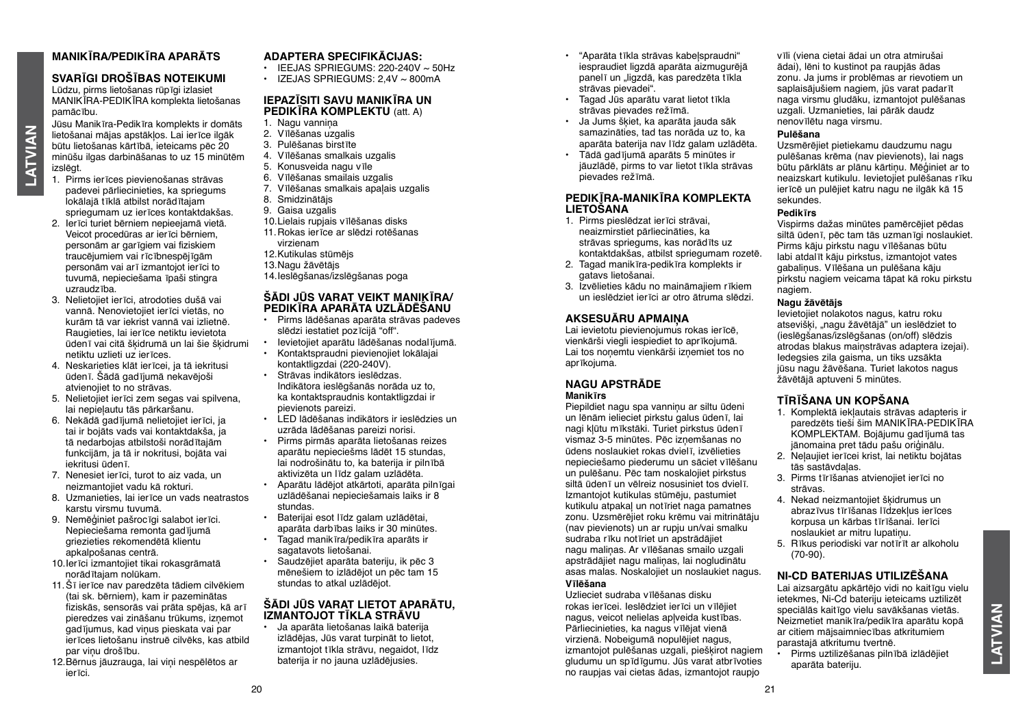# **MANIKĪRA/PEDIKĪRA APARĀTS**

#### **SVARĪGI DROŠĪBAS NOTEIKUMI**

Lūdzu, pirms lietošanas rūpīgi izlasiet MANIKĪRA-PEDIKĪRA komplekta lietošanas pamācību.

Jūsu Manikīra-Pedikīra komplekts ir domāts lietošanai mājas apstākļos. Lai ierīce ilgāk būtu lietošanas kārtībā, ieteicams pēc 20 minūšu ilgas darbināšanas to uz 15 minūtēm izslēgt.

**LATVIAN**

**LATVIAN** 

- 1. Pirms ierīces pievienošanas strāvas padevei pārliecinieties, ka spriegums lokālajā tīklā atbilst norādītajam spriegumam uz ierīces kontaktdakšas.
- 2. Ierīci turiet bērniem nepieejamā vietā. Veicot procedūras ar ierīci bērniem, personām ar garīgiem vai fiziskiem traucējumiem vai rīcībnespējīgām personām vai arī izmantojot ierīci to tuvumā, nepieciešama īpaši stingra uzraudzība.
- 3. Nelietojiet ierīci, atrodoties dušā vai vannā. Nenovietojiet ierīci vietās, no kurām tā var iekrist vannā vai izlietnē. Raugieties, lai ierīce netiktu ievietota ūdenī vai citā šķidrumā un lai šie šķidrumi netiktu uzlieti uz ierīces.
- 4. Neskarieties klāt ierīcei, ja tā iekritusi ūdenī. Šādā gadījumā nekavējoši atvienojiet to no strāvas.
- 5. Nelietojiet ierīci zem segas vai spilvena, lai nepieļautu tās pārkaršanu.
- 6. Nekādā gadījumā nelietojiet ierīci, ja tai ir bojāts vads vai kontaktdakša, ja tā nedarbojas atbilstoši norādītajām funkcijām, ja tā ir nokritusi, bojāta vai iekritusi ūdenī.
- 7. Nenesiet ierīci, turot to aiz vada, un neizmantojiet vadu kā rokturi.
- 8. Uzmanieties, lai ierīce un vads neatrastos karstu virsmu tuvumā.
- 9. Nemēģiniet pašrocīgi salabot ierīci. Nepieciešama remonta gadījumā griezieties rekomendētā klientu apkalpošanas centrā.
- 10.Ierīci izmantojiet tikai rokasgrāmatā norādītajam nolūkam.
- 11.Šī ierīce nav paredzēta tādiem cilvēkiem (tai sk. bērniem), kam ir pazeminātas fiziskās, sensorās vai prāta spējas, kā arī pieredzes vai zināšanu trūkums, izņemot gadījumus, kad viņus pieskata vai par ierīces lietošanu instruē cilvēks, kas atbild par viņu drošību.
- 12.Bērnus jāuzrauga, lai viņi nespēlētos ar ierīci.

#### **ADAPTERA SPECIFIKĀCIJAS:**

- $\cdot$  IEEJAS SPRIEGUMS: 220-240V  $\sim$  50Hz
- $\cdot$  IZEJAS SPRIEGUMS: 2.4V  $\sim$  800mA

#### **IEPAZĪSITI SAVU MANIKĪRA UN PEDIKĪRA KOMPLEKTU** (att. A)

- 1. Nagu vanniņa
- 2. Vīlēšanas uzgalis
- 3. Pulēšanas birstīte
- 4. Vīlēšanas smalkais uzgalis
- 5. Konusveida nagu vīle
- 6. Vīlēšanas smailais uzgalis
- 7. Vīlēšanas smalkais apalais uzgalis
- 8. Smidzinātājs
- 9. Gaisa uzgalis
- 10.Lielais rupjais vīlēšanas disks
- 11.Rokas ierīce ar slēdzi rotēšanas virzienam
- 12.Kutikulas stūmējs
- 13.Nagu žāvētājs
- 14.Ieslēgšanas/izslēgšanas poga

#### **ŠĀDI JŪS VARAT VEIKT MANIKĪRA/ PEDIKĪRA APARĀTA UZLĀDĒŠANU**

- Pirms lādēšanas aparāta strāvas padeves slēdzi iestatiet pozīcijā "off".
- Ievietojiet aparātu lādēšanas nodalījumā.
- Kontaktspraudni pievienojiet lokālajai kontaktligzdai (220-240V).
- Strāvas indikātors ieslēdzas. Indikātora ieslēgšanās norāda uz to, ka kontaktspraudnis kontaktligzdai ir pievienots pareizi.
- LED lādēšanas indikātors ir ieslēdzies un uzrāda lādēšanas pareizi norisi.
- Pirms pirmās aparāta lietošanas reizes aparātu nepieciešms lādēt 15 stundas, lai nodrošinātu to, ka baterija ir pilnībā aktivizēta un līdz galam uzlādēta.
- Aparātu lādējot atkārtoti, aparāta pilnīgai uzlādēšanai nepieciešamais laiks ir 8 stundas.
- Baterijai esot līdz galam uzlādētai, aparāta darbības laiks ir 30 minūtes.
- Tagad manikīra/pedikīra aparāts ir sagatavots lietošanai.
- Saudzējiet aparāta bateriju, ik pēc 3 mēnešiem to izlādējot un pēc tam 15 stundas to atkal uzlādējot.

#### **ŠĀDI JŪS VARAT LIETOT APARĀTU, IZMANTOJOT TĪKLA STRĀVU**

• Ja aparāta lietošanas laikā baterija izlādējas, Jūs varat turpināt to lietot, izmantojot tīkla strāvu, negaidot, līdz baterija ir no jauna uzlādējusies.

- "Aparāta tīkla strāvas kabeļspraudni" iespraudiet ligzdā aparāta aizmugurējā panelī un "ligzdā, kas paredzēta tīkla strāvas pievadei".
- Tagad Jūs aparātu varat lietot tīkla strāvas pievades režīmā.
- Ja Jums šķiet, ka aparāta jauda sāk samazināties, tad tas norāda uz to, ka aparāta baterija nav līdz galam uzlādēta.
- Tādā gadījumā aparāts 5 minūtes ir jāuzlādē, pirms to var lietot tīkla strāvas pievades režīmā.

#### **PEDIKĪRA-MANIKĪRA KOMPLEKTA LIETOŠANA**

- 1. Pirms pieslēdzat ierīci strāvai, neaizmirstiet pārliecināties, ka strāvas spriegums, kas norādīts uz kontaktdakšas, atbilst spriegumam rozetē.
- 2. Tagad manikīra-pedikīra komplekts ir gatavs lietošanai.
- 3. Izvēlieties kādu no maināmajiem rīkiem un ieslēdziet ierīci ar otro ātruma slēdzi.

#### **Aksesuāru apmaiņa**

Lai ievietotu pievienojumus rokas ierīcē. vienkārši viegli iespiediet to aprīkojumā. Lai tos nonemtu vienkārši iznemiet tos no aprīkojuma.

#### **NAGU APSTRĀDE Manikīrs**

Piepildiet nagu spa vanniņu ar siltu ūdeni un lēnām ielieciet pirkstu galus ūdenī, lai nagi kļūtu mīkstāki. Turiet pirkstus ūdenī vismaz 3-5 minūtes. Pēc izņemšanas no ūdens noslaukiet rokas dvielī, izvēlieties nepieciešamo piederumu un sāciet vīlēšanu un pulēšanu. Pēc tam noskalojiet pirkstus siltā ūdenī un vēlreiz nosusiniet tos dvielī. Izmantojot kutikulas stūmēju, pastumiet kutikulu atpakaļ un notīriet naga pamatnes zonu. Uzsmērējiet roku krēmu vai mitrinātāju (nav pievienots) un ar rupju un/vai smalku sudraba rīku notīriet un apstrādājiet nagu maliņas. Ar vīlēšanas smailo uzgali apstrādājiet nagu maliņas, lai nogludinātu asas malas. Noskalojiet un noslaukiet nagus.

#### **Vīlēšana**

Uzlieciet sudraba vīlēšanas disku rokas ierīcei. Ieslēdziet ierīci un vīlējiet nagus, veicot nelielas aplveida kustības. Pārliecinieties, ka nagus vīlējat vienā virzienā. Nobeigumā nopulējiet nagus, izmantojot pulēšanas uzgali, piešķirot nagiem gludumu un spīdīgumu. Jūs varat atbrīvoties no raupjas vai cietas ādas, izmantojot raupjo

vīli (viena cietai ādai un otra atmirušai ādai), lēni to kustinot pa raupjās ādas zonu. Ja jums ir problēmas ar rievotiem un saplaisājušiem nagiem, jūs varat padarīt naga virsmu gludāku, izmantojot pulēšanas uzgali. Uzmanieties, lai pārāk daudz nenovīlētu naga virsmu.

#### **Pulēšana**

Uzsmērējiet pietiekamu daudzumu nagu pulēšanas krēma (nav pievienots), lai nags būtu pārklāts ar plānu kārtiņu. Mēģiniet ar to neaizskart kutikulu. Ievietojiet pulēšanas rīku ierīcē un pulējiet katru nagu ne ilgāk kā 15 sekundes.

#### **Pedikīrs**

Vispirms dažas minūtes pamērcējiet pēdas siltā ūdenī, pēc tam tās uzmanīgi noslaukiet. Pirms kāju pirkstu nagu vīlēšanas būtu labi atdalīt kāju pirkstus, izmantojot vates gabaliņus. Vīlēšana un pulēšana kāju pirkstu nagiem veicama tāpat kā roku pirkstu nagiem.

#### **Nagu žāvētājs**

Ievietojiet nolakotos nagus, katru roku atsevišķi, "nagu žāvētājā" un ieslēdziet to (ieslēgšanas/izslēgšanas (on/off) slēdzis atrodas blakus maiņstrāvas adaptera izejai). Iedegsies zila gaisma, un tiks uzsākta jūsu nagu žāvēšana. Turiet lakotos nagus žāvētājā aptuveni 5 minūtes.

#### **TĪRĪŠANA UN KOPŠANA**

- 1. Komplektā iekļautais strāvas adapteris ir paredzēts tieši šim MANIKĪRA-PEDIKĪRA KOMPLEKTAM. Bojājumu gadījumā tas jānomaina pret tādu pašu oriģinālu.
- 2. Neļaujiet ierīcei krist, lai netiktu bojātas tās sastāvdaļas.
- 3. Pirms tīrīšanas atvienojiet ierīci no strāvas.
- 4. Nekad neizmantojiet šķidrumus un abrazīvus tīrīšanas līdzekļus ierīces korpusa un kārbas tīrīšanai. Ierīci noslaukiet ar mitru lupatinu.
- 5. Rīkus periodiski var notīrīt ar alkoholu (70-90).

#### **NI-CD BATERIJAS UTILIZĒŠANA**

Lai aizsargātu apkārtējo vidi no kaitīgu vielu ietekmes, Ni-Cd bateriju ieteicams uztilizēt speciālās kaitīgo vielu savākšanas vietās. Neizmetiet manikīra/pedikīra aparātu kopā ar citiem mājsaimniecības atkritumiem parastajā atkritumu tvertnē.

• Pirms uztilizēšanas pilnībā izlādējiet aparāta bateriju.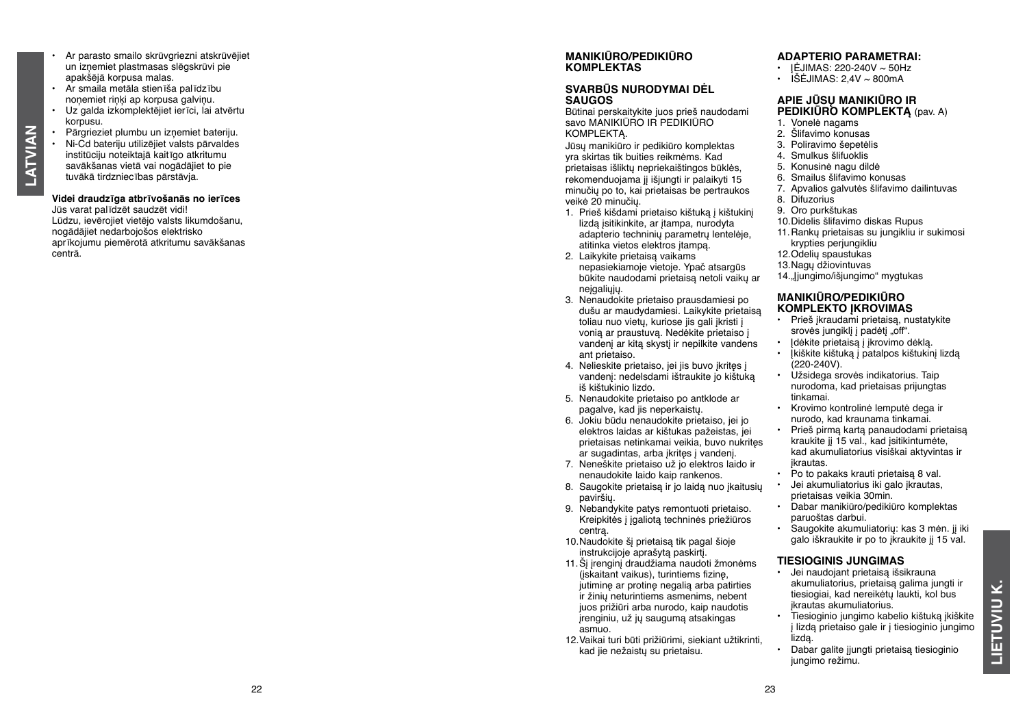- Ar parasto smailo skrūvgriezni atskrūvējiet un izņemiet plastmasas slēgskrūvi pie apakšējā korpusa malas.
- Ar smaila metāla stienīša palīdzību noņemiet riņķi ap korpusa galviņu.
- Uz galda izkomplektējiet ierīci, lai atvērtu korpusu.
- Pārgrieziet plumbu un izņemiet bateriju.
- Ni-Cd bateriju utilizējiet valsts pārvaldes institūciju noteiktajā kaitīgo atkritumu savākšanas vietā vai nogādājiet to pie tuvākā tirdzniecības pārstāvja.

**LATVIAN**

**LATVIAN** 

**Videi draudzīga atbrīvošanās no ierīces**

Jūs varat palīdzēt saudzēt vidi! Lūdzu, ievērojiet vietējo valsts likumdošanu, nogādājiet nedarbojošos elektrisko aprīkojumu piemērotā atkritumu savākšanas centrā.

# **MANIKIŪRO/PEDIKIŪRO KOMPLEKTAS**

#### **SVARBŪS NURODYMAI DĖL SAUG O S**

Būtinai perskaitykite juos prieš naudodami savo MANIKIŪRO IR PEDIKIŪRO KOMPLEKTĄ.

Jūsų manikiūro ir pedikiūro komplektas yra skirtas tik buities reikmėms. Kad prietaisas išliktų nepriekaištingos būklės, rekomenduojama jį išjungti ir palaikyti 15 minučių po to, kai prietaisas be pertraukos veikė 20 minučių.

- 1. Prieš kišdami prietaiso kištuką į kištukinį lizdą įsitikinkite, ar įtampa, nurodyta adapterio techninių parametrų lentelėje, atitinka vietos elektros įtampą.
- 2. Laikykite prietaisą vaikams nepasiekiamoje vietoje. Ypač atsargūs būkite naudodami prietaisą netoli vaikų ar neigaliųjų.
- 3. Nenaudokite prietaiso prausdamiesi po dušu ar maudydamiesi. Laikykite prietaisą toliau nuo vietų, kuriose jis gali įkristi į vonią ar praustuvą. Nedėkite prietaiso į vandenį ar kitą skystį ir nepilkite vandens ant prietaiso.
- 4. Nelieskite prietaiso, jei jis buvo įkritęs į vandenį: nedelsdami ištraukite jo kištuką iš kištukinio lizdo.
- 5. Nenaudokite prietaiso po antklode ar pagalve, kad jis neperkaistų.
- 6. Jokiu būdu nenaudokite prietaiso, jei jo elektros laidas ar kištukas pažeistas, jei prietaisas netinkamai veikia, buvo nukritęs ar sugadintas, arba įkritęs į vandenį.
- 7. Neneškite prietaiso už jo elektros laido ir nenaudokite laido kaip rankenos.
- 8. Saugokite prietaisą ir jo laidą nuo įkaitusių paviršių.
- 9. Nebandykite patys remontuoti prietaiso. Kreipkitės į įgaliotą techninės priežiūros centrą.
- 10.Naudokite šį prietaisą tik pagal šioje instrukcijoje aprašytą paskirtį.
- 11.Šį įrenginį draudžiama naudoti žmonėms (įskaitant vaikus), turintiems fizinę, jutiminę ar protinę negalią arba patirties ir žinių neturintiems asmenims, nebent juos prižiūri arba nurodo, kaip naudotis įrenginiu, už jų saugumą atsakingas asmuo.
- 12.Vaikai turi būti prižiūrimi, siekiant užtikrinti, kad jie nežaistų su prietaisu.

#### **ADAPTERI O PARAMETRAI:**

- $\cdot$  IEJIMAS: 220-240V  $\sim$  50Hz
- $\cdot$  IŠĖJIMAS: 2,4V ~ 800mA

#### **APIE JŪSŲ MANIKIŪRO IR PEDIKIŪRO KOMPLEKTĄ** (pav. A )

- 1. Vonelė nagams
- 2. Šlifavimo konusas
- 3. Poliravimo šepetėlis
- 4. Smulkus šlifuoklis
- 5. Konusinė nagu dildė
- 6. Smailus šlifavimo konusas
- 7. Apvalios galvutės šlifavimo dailintuvas
- 8. Difuzorius
- 9. Oro purkštukas
- 10. Didelis šlifavimo diskas Rupus
- 11.Rankų prietaisas su jungikliu ir sukimosi krypties perjungikliu
- 12.Odelių spaustukas
- 13.Nagų džiovintuvas
- 14. ljungimo/išjungimo" mygtukas

#### **MANIKIŪRO/PEDIKIŪRO KOMPLEKTO ĮKROVIMAS**

- Prieš įkraudami prietaisą, nustatykite srovės jungiklį į padėtį "off".
- Įdėkite prietaisą į įkrovimo dėklą.
- Įkiškite kištuką į patalpos kištukinį lizdą  $(220 - 240V)$ .
- Užsidega srovės indikatorius. Taip nurodoma, kad prietaisas prijungtas tinkamai.
- Krovimo kontrolinė lemputė dega ir nurodo, kad kraunama tinkamai.
- Prieš pirmą kartą panaudodami prietaisą kraukite jį 15 val., kad isitikintumėte. kad akumuliatorius visiškai aktyvintas ir įkrautas.
- Po to pakaks krauti prietaisą 8 val.
- Jei akumuliatorius iki galo įkrautas, prietaisas veikia 30min.
- Dabar manikiūro/pedikiūro komplektas paruoštas darbui.
- Saugokite akumuliatorių: kas 3 mėn. jį iki galo iškraukite ir po to įkraukite jį 15 val.

#### **TIESI OGINIS JUNGIMAS**

- Jei naudojant prietaisą išsikrauna akumuliatorius, prietaisą galima jungti ir tiesiogiai, kad nereikėtų laukti, kol bus įkrautas akumuliatorius.
- Tiesioginio jungimo kabelio kištuką įkiškite į lizdą prietaiso gale ir į tiesioginio jungimo lizdą.
- Dabar galite įjungti prietaisą tiesioginio jungimo režimu.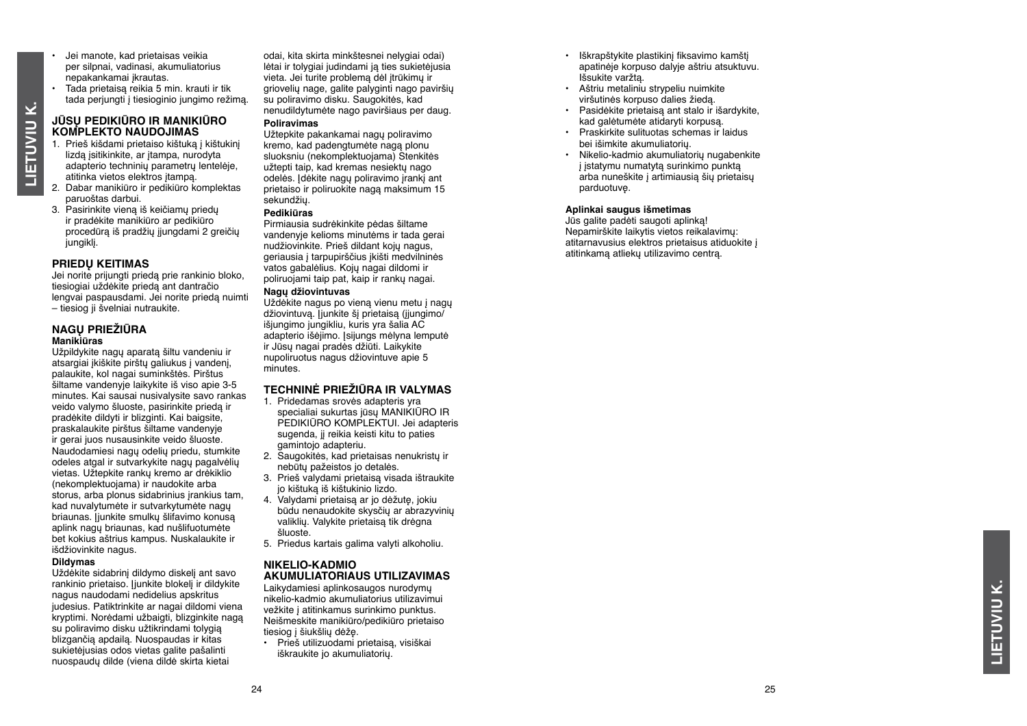- Jei manote, kad prietaisas veikia per silpnai, vadinasi, akumuliatorius nepakankamai įkrautas.
- Tada prietaisą reikia 5 min. krauti ir tik tada perjungti į tiesioginio jungimo režimą.

# **JŪSŲ PEDIKIŪRO IR MANIKIŪRO KOMPLEKTO NAUDOJIMAS**

- 1. Prieš kišdami prietaiso kištuką į kištukinį lizdą įsitikinkite, ar įtampa, nurodyta adapterio techninių parametrų lentelėje, atitinka vietos elektros įtampą.
- 2. Dabar manikiūro ir pedikiūro komplektas paruoštas darbui.
- 3. Pasirinkite vieną iš keičiamų priedų ir pradėkite manikiūro ar pedikiūro procedūrą iš pradžių įjungdami 2 greičių jungiklį.

#### **Priedų keitimas**

**Lietuviu k.**

LIETUVIU K.

Jei norite prijungti priedą prie rankinio bloko, tiesiogiai uždėkite priedą ant dantračio lengvai paspausdami. Jei norite priedą nuimti – tiesiog ji švelniai nutraukite.

#### **NAGŲ PRIEŽIŪRA Manikiūras**

Užpildykite nagų aparatą šiltu vandeniu ir atsargiai įkiškite pirštų galiukus į vandenį, palaukite, kol nagai suminkštės. Pirštus šiltame vandenyje laikykite iš viso apie 3-5 minutes. Kai sausai nusivalysite savo rankas veido valymo šluoste, pasirinkite priedą ir pradėkite dildyti ir blizginti. Kai baigsite, praskalaukite pirštus šiltame vandenyje ir gerai juos nusausinkite veido šluoste. Naudodamiesi nagų odelių priedu, stumkite odeles atgal ir sutvarkykite nagų pagalvėlių vietas. Užtepkite rankų kremo ar drėkiklio (nekomplektuojama) ir naudokite arba storus, arba plonus sidabrinius įrankius tam. kad nuvalytumėte ir sutvarkytumėte nagų briaunas. Įjunkite smulkų šlifavimo konusą aplink nagų briaunas, kad nušlifuotumėte bet kokius aštrius kampus. Nuskalaukite ir išdžiovinkite nagus.

#### **Dildymas**

Uždėkite sidabrinį dildymo diskelį ant savo rankinio prietaiso. Ijunkite blokelį ir dildykite nagus naudodami nedidelius apskritus judesius. Patiktrinkite ar nagai dildomi viena kryptimi. Norėdami užbaigti, blizginkite nagą su poliravimo disku užtikrindami tolygią blizgančią apdailą. Nuospaudas ir kitas sukietėjusias odos vietas galite pašalinti nuospaudų dilde (viena dildė skirta kietai

odai, kita skirta minkštesnei nelygiai odai) lėtai ir tolygiai judindami ją ties sukietėjusia vieta. Jei turite problemą dėl įtrūkimų ir griovelių nage, galite palyginti nago paviršių su poliravimo disku. Saugokitės, kad nenudildytumėte nago paviršiaus per daug.

#### **Poliravimas**

Užtepkite pakankamai nagų poliravimo kremo, kad padengtumėte nagą plonu sluoksniu (nekomplektuojama) Stenkitės užtepti taip, kad kremas nesiektų nago odelės. Įdėkite nagų poliravimo įrankį ant prietaiso ir poliruokite nagą maksimum 15 sekundžių.

#### **Pedikiūras**

Pirmiausia sudrėkinkite pėdas šiltame vandenyje kelioms minutėms ir tada gerai nudžiovinkite. Prieš dildant kojų nagus, geriausia į tarpupirščius įkišti medvilninės vatos gabalėlius. Kojų nagai dildomi ir poliruojami taip pat, kaip ir rankų nagai.

#### **Nagų džiovintuvas**

Uždėkite nagus po vieną vienu metu į nagų džiovintuvą. Įjunkite šį prietaisą (įjungimo/ išjungimo jungikliu, kuris yra šalia AC adapterio išėjimo. Isijungs mėlyna lemputė ir Jūsų nagai pradės džiūti. Laikykite nupoliruotus nagus džiovintuve apie 5 minutes.

#### **TECHNINĖ PRIEŽIŪRA IR VALYMAS**

- 1. Pridedamas srovės adapteris yra specialiai sukurtas jūsų MANIKIŪRO IR PEDIKIŪRO KOMPLEKTUI. Jei adapteris sugenda, jį reikia keisti kitu to paties gamintojo adapteriu.
- 2. Saugokitės, kad prietaisas nenukristų ir nebūtų pažeistos jo detalės.
- 3. Prieš valydami prietaisą visada ištraukite jo kištuką iš kištukinio lizdo.
- 4. Valydami prietaisą ar jo dėžutę, jokiu būdu nenaudokite skysčių ar abrazyvinių valiklių. Valykite prietaisą tik drėgna šluoste.
- 5. Priedus kartais galima valyti alkoholiu.

#### **NIKELI O-KADMI O AKUMULIAT ORIAUS UTILIZAVIMAS**

Laikydamiesi aplinkosaugos nurodymų nikelio-kadmio akumuliatorius utilizavimui vežkite į atitinkamus surinkimo punktus. Neišmeskite manikiūro/pedikiūro prietaiso tiesiog į šiukšlių dėžę.

• Prieš utilizuodami prietaisą, visiškai iškraukite jo akumuliatorių.

- Iškrapštykite plastikinį fiksavimo kamštį apatinėje korpuso dalyje aštriu atsuktuvu. Išsukite varžtą.
- Aštriu metaliniu strypeliu nuimkite viršutinės korpuso dalies žiedą.
- Pasidėkite prietaisą ant stalo ir išardykite, kad galėtumėte atidaryti korpusą.
- Praskirkite sulituotas schemas ir laidus bei išimkite akumuliatorių.
- Nikelio-kadmio akumuliatorių nugabenkite į įstatymu numatytą surinkimo punktą arba nuneškite į artimiausią šių prietaisų parduotuvę.

#### **Aplinkai saugus išmetimas**

Jūs galite padėti saugoti aplinką! Nepamirškite laikytis vietos reikalavimų: atitarnavusius elektros prietaisus atiduokite į atitinkamą atliekų utilizavimo centrą.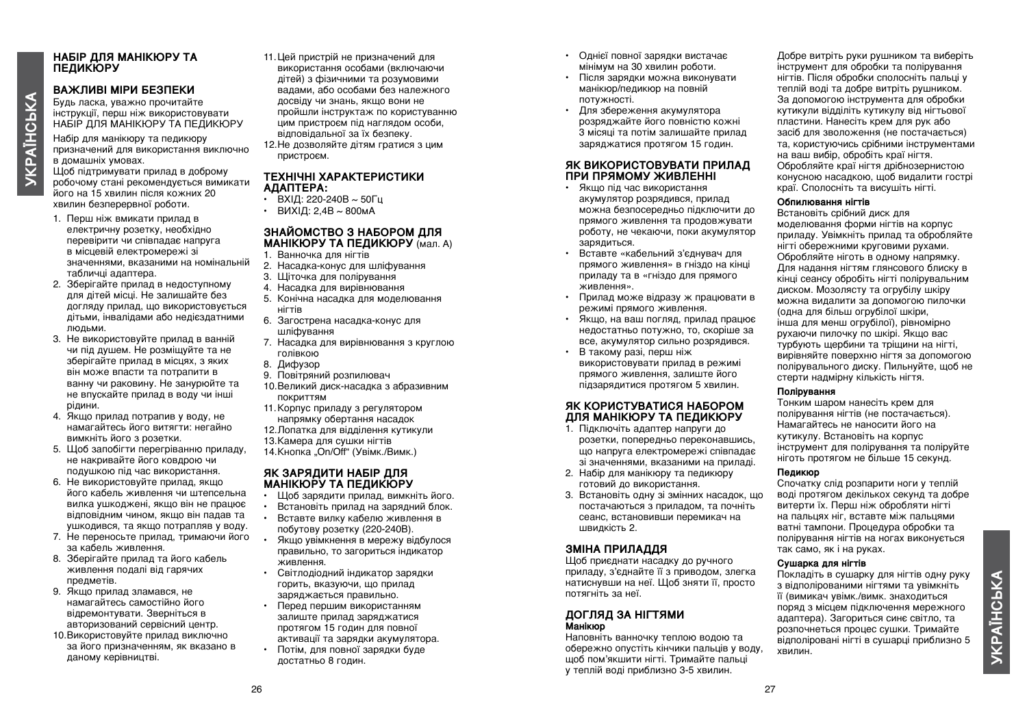# *YKPAÏHCbKA* **УКРАЇНСЬКА**

## **НАБІР ДЛЯ МАНІКЮРУ ТА ПЕДИКЮРУ**

#### **ВАЖЛИВІ МІРИ БЕЗПЕКИ**

Будь ласка, уважно прочитайте інструкції, перш ніж використовувати НАБІР ДЛЯ МАНІКЮРУ ТА ПЕДИКЮРУ

Набір для манікюру та педикюру призначений для використання виключно в домашніх умовах.

Щоб підтримувати прилад в доброму робочому стані рекомендується вимикати його на 15 хвилин після кожних 20 хвилин безперервної роботи.

- 1. Перш ніж вмикати прилад в електричну розетку, необхідно перевірити чи співпадає напруга в місцевій електромережі зі значеннями, вказаними на номінальній табличці адаптера.
- 2. Зберігайте прилад в недоступному для дітей місці. Не залишайте без догляду прилад, що використовується дітьми, інвалідами або недієздатними людьми.
- 3. Не використовуйте прилад в ванній чи під душем. Не розміщуйте та не зберігайте прилад в місцях, з яких він може впасти та потрапити в ванну чи раковину. Не занурюйте та не впускайте прилад в воду чи інші рідини.
- 4. Якщо прилад потрапив у воду, не намагайтесь його витягти: негайно вимкніть його з розетки.
- 5. Щоб запобігти перегріванню приладу, не накривайте його ковдрою чи подушкою під час використання.
- 6. Не використовуйте прилад, якщо його кабель живлення чи штепсельна вилка ушкоджені, якщо він не працює відповідним чином, якщо він падав та ушкодився, та якщо потрапляв у воду.
- 7. Не переносьте прилад, тримаючи його за кабель живлення.
- 8. Зберігайте прилад та його кабель живлення подалі від гарячих предметів.
- 9. Якщо прилад зламався, не намагайтесь самостійно його відремонтувати. Зверніться в авторизований сервісний центр.
- 10.Використовуйте прилад виключно за його призначенням, як вказано в даному керівництві.
- 11.Цей пристрій не призначений для використання особами (включаючи дітей) з фізичними та розумовими вадами, або особами без належного досвіду чи знань, якщо вони не пройшли інструктаж по користуванню цим пристроєм під наглядом особи, відповідальної за їх безпеку.
- 12.Не дозволяйте дітям гратися з цим пристроєм.

#### **ТЕХНІЧНІ ХАРАКТЕРИСТИКИ АДАПТЕРА:**

- $\overline{B}$  BXIЛ: 220-240B  $\sim$  50 $\overline{C}$ u
- ВИХІЛ: 24В  $\sim$  800мА

#### **ЗНАЙОМСТВО З НАБОРОМ ДЛЯ МАНІКЮРУ ТА ПЕДИКЮРУ** (мал. A) 1. Ванночка для нігтів

- 
- 2. Насадка-конус для шліфування
- 3. Щіточка для полірування
- 4. Насадка для вирівнювання
- 5. Конічна насадка для моделювання нігтів
- 6. Загострена насадка-конус для шліфування
- 7. Насадка для вирівнювання з круглою голівкою
- 8. Дифузор
- 9. Повітряний розпилювач
- 10.Великий диск-насадка з абразивним покриттям
- 11.Корпус приладу з регулятором напрямку обертання насадок
- 12.Лопатка для відділення кутикули
- 13.Камера для сушки нігтів
- 14.Кнопка "On/Off" (Увімк./Вимк.)

#### **ЯК ЗАРЯДИТИ НАБІР ДЛЯ МАНІКЮРУ ТА ПЕДИКЮРУ**

- Щоб зарядити прилад, вимкніть його.
- Встановіть прилад на зарядний блок.
- Вставте вилку кабелю живлення в побутову розетку (220-240В).
- Якщо увімкнення в мережу відбулося правильно, то загориться індикатор живлення.
- Світлодіодний індикатор зарядки горить, вказуючи, що прилад заряджається правильно.
- Перед першим використанням залиште прилад заряджатися протягом 15 годин для повної активації та зарядки акумулятора. • Потім, для повної зарядки буде
- достатньо 8 годин.
- Однієї повної зарядки вистачає мінімум на 30 хвилин роботи.
- Після зарядки можна виконувати манікюр/педикюр на повній потужності.
- Для збереження акумулятора розряджайте його повністю кожні 3 місяці та потім залишайте прилад заряджатися протягом 15 годин.

#### **ЯК ВИКОРИСТОВУВАТИ ПРИЛАД ПРИ ПРЯМОМУ ЖИВЛЕННІ**

- Якщо під час використання акумулятор розрядився, прилад можна безпосередньо підключити до прямого живлення та продовжувати роботу, не чекаючи, поки акумулятор зарядиться.
- Вставте «кабельний з'єднувач для прямого живлення» в гніздо на кінці приладу та в «гніздо для прямого живлення».
- Прилад може відразу ж працювати в режимі прямого живлення.
- Якщо, на ваш погляд, прилад працює недостатньо потужно, то, скоріше за все, акумулятор сильно розрядився.
- В такому разі, перш ніж використовувати прилад в режимі прямого живлення, залиште його підзарядитися протягом 5 хвилин.

#### **ЯК КОРИСТУВАТИСЯ НАБОРОМ ДЛЯ МАНІКЮРУ ТА ПЕДИКЮРУ**

- 1. Підключіть адаптер напруги до розетки, попередньо переконавшись, що напруга електромережі співпадає зі значеннями, вказаними на приладі.
- 2. Набір для манікюру та педикюру готовий до використання.
- 3. Встановіть одну зі змінних насадок, що постачаються з приладом, та почніть сеанс, встановивши перемикач на швидкість 2.

#### **Зміна приладдя**

Щоб приєднати насадку до ручного приладу, з'єднайте її з приводом, злегка натиснувши на неї. Щоб зняти її, просто потягніть за неї.

#### **ДОГЛЯД ЗА НІГТЯМИ Манікюр**

Наповніть ванночку теплою водою та обережно опустіть кінчики пальців у воду, щоб пом'якшити нігті. Тримайте пальці у теплій воді приблизно 3-5 хвилин.

Добре витріть руки рушником та виберіть інструмент для обробки та полірування нігтів. Після обробки сполосніть пальці у теплій воді та добре витріть рушником. За допомогою інструмента для обробки кутикули відділіть кутикулу від нігтьової пластини. Нанесіть крем для рук або засіб для зволоження (не постачається) та, користуючись срібними інструментами на ваш вибір, обробіть краї нігтя. Обробляйте краї нігтя дрібнозернистою конусною насадкою, щоб видалити гострі краї. Сполосніть та висушіть нігті.

#### **Обпилювання нігтів**

Встановіть срібний диск для моделювання форми нігтів на корпус приладу. Увімкніть прилад та обробляйте нігті обережними круговими рухами. Обробляйте ніготь в одному напрямку. Для надання нігтям глянсового блиску в кінці сеансу обробіть нігті полірувальним диском. Мозолясту та огрубілу шкіру можна видалити за допомогою пилочки (одна для більш огрубілої шкіри, інша для менш огрубілої), рівномірно рухаючи пилочку по шкірі. Якщо вас турбують щербини та тріщини на нігті, вирівняйте поверхню нігтя за допомогою полірувального диску. Пильнуйте, щоб не стерти надмірну кількість нігтя.

#### **Полірування**

Тонким шаром нанесіть крем для полірування нігтів (не постачається). Намагайтесь не наносити його на кутикулу. Встановіть на корпус інструмент для полірування та поліруйте ніготь протягом не більше 15 секунд.

#### **Педикюр**

Спочатку слід розпарити ноги у теплій воді протягом декількох секунд та добре витерти їх. Перш ніж обробляти нігті на пальцях ніг, вставте між пальцями ватні тампони. Процедура обробки та полірування нігтів на ногах виконується так само, як і на руках.

#### **Сушарка для нігтів**

Покладіть в сушарку для нігтів одну руку з відполірованими нігтями та увімкніть її (вимикач увімк./вимк. знаходиться поряд з місцем підключення мережного адаптера). Загориться синє світло, та розпочнеться процес сушки. Тримайте відполіровані нігті в сушарці приблизно 5 хвилин.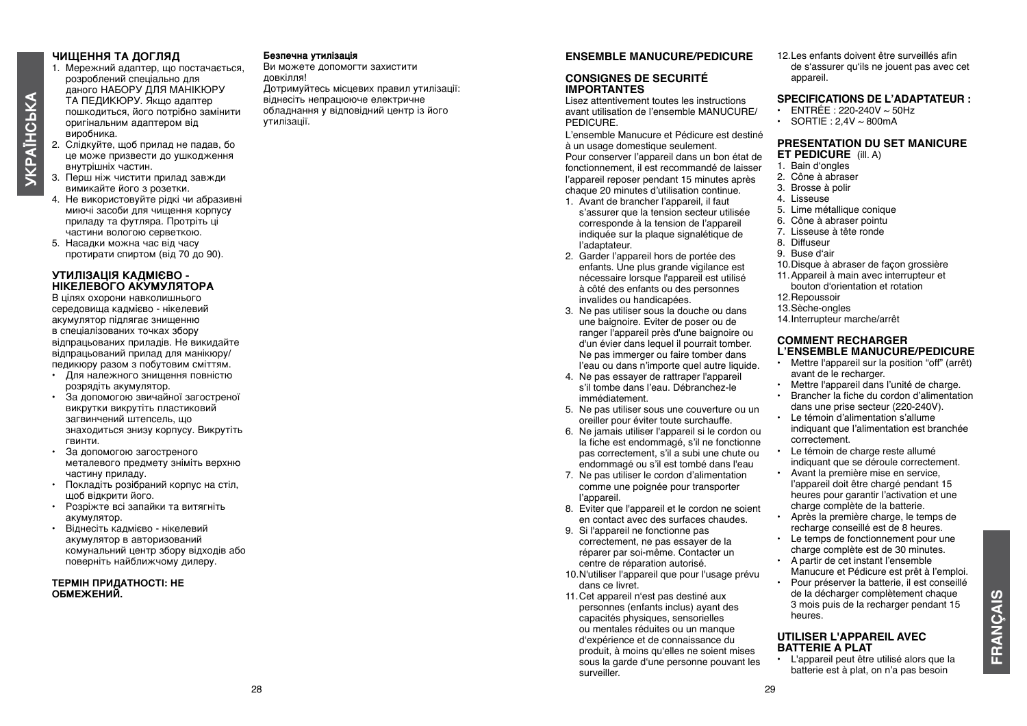# *YKPAÏHCbKA* **УКРАЇНСЬКА**

- даного НАБОРУ ДЛЯ МАНІКЮРУ ТА ПЕДИКЮРУ. Якщо адаптер пошкодиться, його потрібно замінити оригінальним адаптером від
	- виробника. 2. Слідкуйте, щоб прилад не падав, бо це може призвести до ушкодження внутрішніх частин.

1. Мережний адаптер, що постачається, розроблений спеціально для

**ЧИЩЕННЯ ТА ДОГЛЯД**

- 3. Перш ніж чистити прилад завжди вимикайте його з розетки.
- 4. Не використовуйте рідкі чи абразивні миючі засоби для чищення корпусу приладу та футляра. Протріть ці частини вологою серветкою.
- 5. Насадки можна час від часу протирати спиртом (від 70 до 90).

#### **УТИЛІЗАЦІЯ КАДМІЄВО - НІКЕЛЕВОГО АКУМУЛЯТОРА**

В цілях охорони навколишнього середовища кадмієво - нікелевий акумулятор підлягає знищенню в спеціалізованих точках збору відпрацьованих приладів. Не викидайте відпрацьований прилад для манікюру/ педикюру разом з побутовим сміттям.

- Для належного знищення повністю розрядіть акумулятор.
- За допомогою звичайної загостреної викрутки викрутіть пластиковий загвинчений штепсель, що знаходиться знизу корпусу. Викрутіть гвинти.
- За допомогою загостреного металевого предмету зніміть верхню частину приладу.
- Покладіть розібраний корпус на стіл, щоб відкрити його.
- Розріжте всі запайки та витягніть акумулятор.
- Віднесіть кадмієво нікелевий акумулятор в авторизований комунальний центр збору відходів або поверніть найближчому дилеру.

#### **ТЕРМІН ПРИДАТНОСТІ: НЕ ОБМЕЖЕНИЙ.**

#### **Безпечна утилізація**

Ви можете допомогти захистити довкілля! Дотримуйтесь місцевих правил утилізації: віднесіть непрацююче електричне обладнання у відповідний центр із його утилізації.

#### **ENSEMBLE MANUCURE/PEDICURE**

#### **CONSIGNES DE SECURITÉ IMPORTANTES**

Lisez attentivement toutes les instructions avant utilisation de l'ensemble MANUCURE/ **PEDICURE** 

L'ensemble Manucure et Pédicure est destiné à un usage domestique seulement. Pour conserver l'appareil dans un bon état de fonctionnement, il est recommandé de laisser l'appareil reposer pendant 15 minutes après chaque 20 minutes d'utilisation continue.

- 1. Avant de brancher l'appareil, il faut s'assurer que la tension secteur utilisée corresponde à la tension de l'appareil indiquée sur la plaque signalétique de l'adaptateur.
- 2. Garder l'appareil hors de portée des enfants. Une plus grande vigilance est nécessaire lorsque l'appareil est utilisé à côté des enfants ou des personnes invalides ou handicapées.
- 3. Ne pas utiliser sous la douche ou dans une baignoire. Eviter de poser ou de ranger l'appareil près d'une baignoire ou d'un évier dans lequel il pourrait tomber. Ne pas immerger ou faire tomber dans l'eau ou dans n'importe quel autre liquide.
- 4. Ne pas essayer de rattraper l'appareil s'il tombe dans l'eau. Débranchez-le immédiatement.
- 5. Ne pas utiliser sous une couverture ou un oreiller pour éviter toute surchauffe.
- 6. Ne jamais utiliser l'appareil si le cordon ou la fiche est endommagé, s'il ne fonctionne pas correctement, s'il a subi une chute ou endommagé ou s'il est tombé dans l'eau
- 7. Ne pas utiliser le cordon d'alimentation comme une poignée pour transporter l'appareil.
- 8. Eviter que l'appareil et le cordon ne soient en contact avec des surfaces chaudes.
- 9. Si l'appareil ne fonctionne pas correctement, ne pas essayer de la réparer par soi-même. Contacter un centre de réparation autorisé.
- 10. N'utiliser l'appareil que pour l'usage prévu dans ce livret.
- 11. Cet appareil n'est pas destiné aux personnes (enfants inclus) ayant des capacités physiques, sensorielles ou mentales réduites ou un manque d'expérience et de connaissance du produit, à moins qu'elles ne soient mises sous la garde d'une personne pouvant les surveiller.

12.Les enfants doivent être surveillés afin de s'assurer qu'ils ne jouent pas avec cet appareil.

#### **SPECIFICATIONS DE L'ADAPTATEUR :**

- $\cdot$  ENTRÉE : 220-240V  $\sim$  50Hz
- SORTIE :  $2.4V \sim 800 \text{mA}$

#### **PRESENTATION DU SET MANICURE ET PEDICURE** (ill. A)

- 1. Bain d'ongles
- 2. Cône à abraser
- 3. Brosse à polir
- 4. Lisseuse
- 5. Lime métallique conique
- 6. Cône à abraser pointu
- 7. Lisseuse à tête ronde
- 8. Diffuseur
- 9. Buse d'air
- 10.Disque à abraser de façon grossière
- 11. Appareil à main avec interrupteur et bouton d'orientation et rotation
- 12. Repoussoir
- 13.Sèche-ongles
- 14. Interrupteur marche/arrêt

#### **COMMENT RECHARGER L'ENSEMBLE MANUCURE/PEDICURE**

- Mettre l'appareil sur la position "off" (arrêt) avant de le recharger.
- Mettre l'appareil dans l'unité de charge.
- Brancher la fiche du cordon d'alimentation dans une prise secteur (220-240V).
- Le témoin d'alimentation s'allume indiquant que l'alimentation est branchée correctement.
- Le témoin de charge reste allumé indiquant que se déroule correctement.
- Avant la première mise en service, l'appareil doit être chargé pendant 15 heures pour garantir l'activation et une charge complète de la batterie.
- Après la première charge, le temps de recharge conseillé est de 8 heures.
- Le temps de fonctionnement pour une charge complète est de 30 minutes.
- A partir de cet instant l'ensemble Manucure et Pédicure est prêt à l'emploi.
- Pour préserver la batterie, il est conseillé de la décharger complètement chaque 3 mois puis de la recharger pendant 15 heures.

#### **UTILISER L'APPAREIL AVEC BATTERIE A PLAT**

• L'appareil peut être utilisé alors que la batterie est à plat, on n'a pas besoin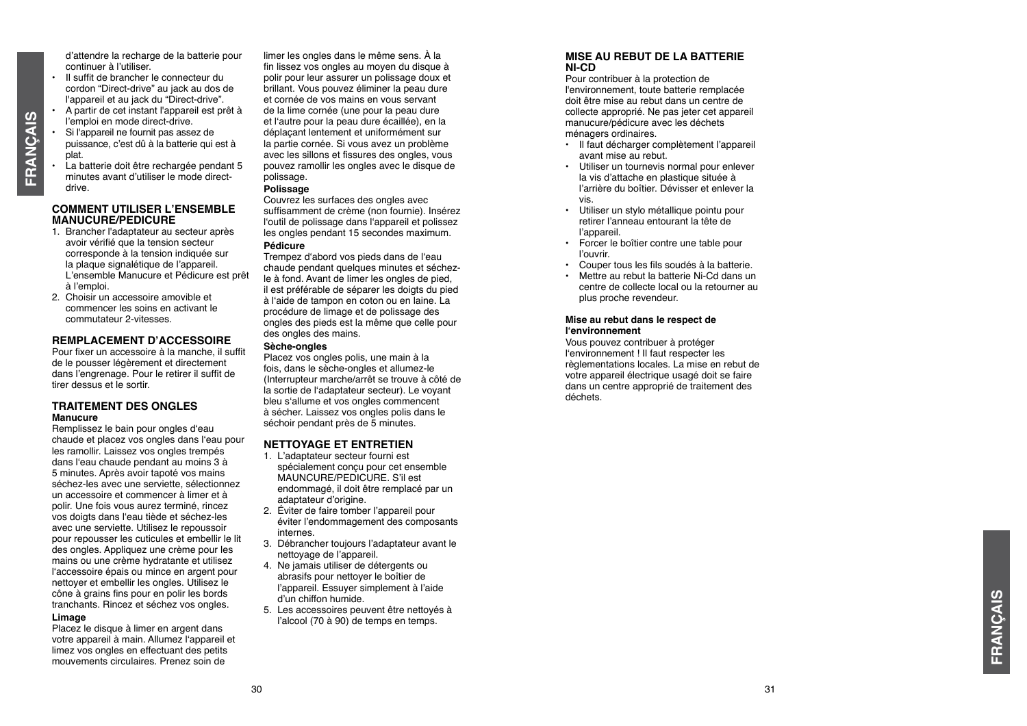d'attendre la recharge de la batterie pour continuer à l'utiliser.

- Il suffit de brancher le connecteur du cordon "Direct-drive" au jack au dos de l'appareil et au jack du "Direct-drive".
- A partir de cet instant l'appareil est prêt à l'emploi en mode direct-drive.
- Si l'appareil ne fournit pas assez de puissance, c'est dû à la batterie qui est à plat.
- La batterie doit être rechargée pendant 5 minutes avant d'utiliser le mode directdrive.

#### **C OMMENT UTILISER L'ENSEMBLE MANUCURE/PEDICURE**

- 1. Brancher l'adaptateur au secteur après avoir vérifié que la tension secteur corresponde à la tension indiquée sur la plaque signalétique de l'appareil. L'ensemble Manucure et Pédicure est prêt à l'emploi.
- 2. Choisir un accessoire amovible et commencer les soins en activant le commutateur 2-vitesses.

#### **REMPLACEMENT D'ACCESS OIRE**

Pour fixer un accessoire à la manche, il suffit de le pousser légèrement et directement dans l'engrenage. Pour le retirer il suffit de tirer dessus et le sortir.

#### **TRAITEMENT DES ONGLES Manucure**

Remplissez le bain pour ongles d'eau chaude et placez vos ongles dans l'eau pour les ramollir. Laissez vos ongles trempés dans l'eau chaude pendant au moins 3 à 5 minutes. Après avoir tapoté vos mains séchez-les avec une serviette, sélectionnez un accessoire et commencer à limer et à polir. Une fois vous aurez terminé, rincez vos doigts dans l'eau tiède et séchez-les avec une serviette. Utilisez le repoussoir pour repousser les cuticules et embellir le lit des ongles. Appliquez une crème pour les mains ou une crème hydratante et utilisez l'accessoire épais ou mince en argent pour nettoyer et embellir les ongles. Utilisez le cône à grains fins pour en polir les bords tranchants. Rincez et séchez vos ongles.

#### **Limage**

Placez le disque à limer en argent dans votre appareil à main. Allumez l'appareil et limez vos ongles en effectuant des petits mouvements circulaires. Prenez soin de

limer les ongles dans le même sens. À la fin lissez vos ongles au moyen du disque à polir pour leur assurer un polissage doux et brillant. Vous pouvez éliminer la peau dure et cornée de vos mains en vous servant de la lime cornée (une pour la peau dure et l'autre pour la peau dure écaillée), en la déplaçant lentement et uniformément sur la partie cornée. Si vous avez un problème avec les sillons et fissures des ongles, vous pouvez ramollir les ongles avec le disque de polissage.

#### **Polissage**

Couvrez les surfaces des ongles avec suffisamment de crème (non fournie). Insérez l'outil de polissage dans l'appareil et polissez les ongles pendant 15 secondes maximum. **Pédicure**

Trempez d'abord vos pieds dans de l'eau chaude pendant quelques minutes et séchezle à fond. Avant de limer les ongles de pied, il est préférable de séparer les doigts du pied à l'aide de tampon en coton ou en laine. La procédure de limage et de polissage des ongles des pieds est la même que celle pour des ongles des mains.

#### **Sèche-ongles**

Placez vos ongles polis, une main à la fois, dans le sèche-ongles et allumez-le (Interrupteur marche/arrêt se trouve à côté de la sortie de l'adaptateur secteur). Le voyant bleu s'allume et vos ongles commencent à sécher. Laissez vos ongles polis dans le séchoir pendant près de 5 minutes.

#### **NETT OYAGE ET ENTRETIEN**

- 1. L'adaptateur secteur fourni est MAUNCURE/PEDICURE. S'il est endommagé, il doit être remplacé par un adaptateur d'origine.
- 2. Éviter de faire tomber l'appareil pour éviter l'endommagement des composants internes.
- 3. Débrancher toujours l'adaptateur avant le nettoyage de l'appareil.
- 4. Ne jamais utiliser de détergents ou abrasifs pour nettoyer le boîtier de l'appareil. Essuyer simplement à l'aide d'un chiffon humide.
- 5. Les accessoires peuvent être nettoyés à l'alcool (70 à 90) de temps en temps.

#### **MISE AU REBUT DE LA BATTERIE NI-CD**

Pour contribuer à la protection de l'environnement, toute batterie remplacée doit être mise au rebut dans un centre de collecte approprié. Ne pas jeter cet appareil manucure/pédicure avec les déchets ménagers ordinaires.

- Il faut décharger complètement l'appareil avant mise au rebut.
- Utiliser un tournevis normal pour enlever la vis d'attache en plastique située à l'arrière du boîtier. Dévisser et enlever la vis.
- Utiliser un stylo métallique pointu pour retirer l'anneau entourant la tête de l'appareil.
- Forcer le boîtier contre une table pour l'ouvrir.
- Couper tous les fils soudés à la batterie.
- Mettre au rebut la batterie Ni-Cd dans un centre de collecte local ou la retourner au plus proche revendeur.

#### **Mise au rebut dans le respect de l'environnement**

Vous pouvez contribuer à protéger l'environnement ! Il faut respecter les règlementations locales. La mise en rebut de votre appareil électrique usagé doit se faire dans un centre approprié de traitement des déchets.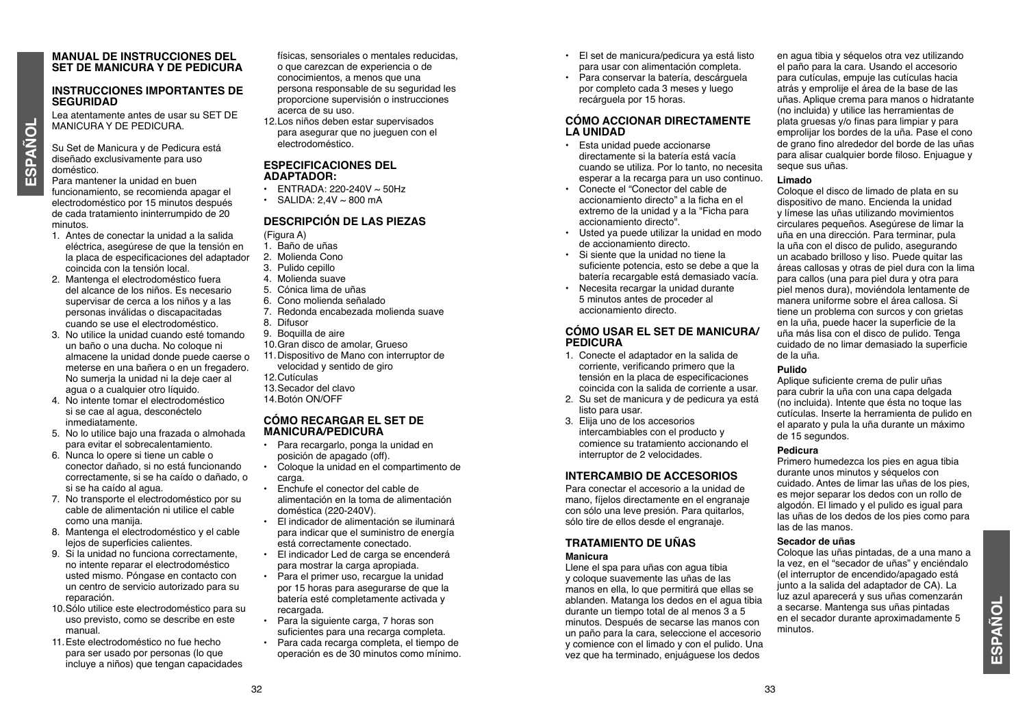#### **MANUAL DE INSTRUCCIONES DEL SET DE MANICURA Y DE PEDICURA**

#### **INSTRUCCIONES IMPORTANTES DE SEGURIDAD**

Lea atentamente antes de usar su SET DE MANICURA Y DE PEDICURA.

Su Set de Manicura y de Pedicura está diseñado exclusivamente para uso doméstico. Para mantener la unidad en buen

funcionamiento, se recomienda apagar el electrodoméstico por 15 minutos después de cada tratamiento ininterrumpido de 20 minutos.

- 1. Antes de conectar la unidad a la salida eléctrica, asegúrese de que la tensión en la placa de especificaciones del adaptador coincida con la tensión local.
- 2. Mantenga el electrodoméstico fuera del alcance de los niños. Es necesario supervisar de cerca a los niños y a las personas inválidas o discapacitadas cuando se use el electrodoméstico.
- 3. No utilice la unidad cuando esté tomando un baño o una ducha. No coloque ni almacene la unidad donde puede caerse o meterse en una bañera o en un fregadero. No sumerja la unidad ni la deje caer al agua o a cualquier otro líquido.
- 4. No intente tomar el electrodoméstico si se cae al agua, desconéctelo inmediatamente.
- 5. No lo utilice bajo una frazada o almohada para evitar el sobrecalentamiento.
- 6. Nunca lo opere si tiene un cable o conector dañado, si no está funcionando correctamente, si se ha caído o dañado, o si se ha caído al agua.
- 7. No transporte el electrodoméstico por su cable de alimentación ni utilice el cable como una manija.
- 8. Mantenga el electrodoméstico y el cable lejos de superficies calientes.
- 9. Si la unidad no funciona correctamente, no intente reparar el electrodoméstico usted mismo. Póngase en contacto con un centro de servicio autorizado para su reparación.
- 10.Sólo utilice este electrodoméstico para su uso previsto, como se describe en este manual.
- 11.Este electrodoméstico no fue hecho para ser usado por personas (lo que incluye a niños) que tengan capacidades

físicas, sensoriales o mentales reducidas, o que carezcan de experiencia o de conocimientos, a menos que una persona responsable de su seguridad les proporcione supervisión o instrucciones acerca de su uso.

12. Los niños deben estar supervisados para asegurar que no jueguen con el electrodoméstico.

#### **ESPECIFICACIONES DEL ADAPTADOR:**

- ENTRADA:  $220-240V \sim 50Hz$
- SALIDA:  $2.4V \sim 800$  mA

#### **descripción de las piezas**

(Figura A)

- 1. Baño de uñas
- 2. Molienda Cono
- 3. Pulido cepillo
- 4. Molienda suave
- 5. Cónica lima de uñas
- 6. Cono molienda señalado
- 7. Redonda encabezada molienda suave
- 8. Difusor
- 9. Boquilla de aire
- 10. Gran disco de amolar, Grueso
- 11. Dispositivo de Mano con interruptor de velocidad y sentido de giro 12.Cutículas
- 13. Secador del clavo
- 14.Botón ON/OFF

#### **CÓMO RECARGAR EL SET DE MANICURA/PEDICURA**

- Para recargarlo, ponga la unidad en posición de apagado (off).
- Coloque la unidad en el compartimento de carga.
- Enchufe el conector del cable de alimentación en la toma de alimentación doméstica (220-240V).
- El indicador de alimentación se iluminará para indicar que el suministro de energía está correctamente conectado.
- El indicador Led de carga se encenderá para mostrar la carga apropiada.
- Para el primer uso, recargue la unidad por 15 horas para asegurarse de que la batería esté completamente activada y recargada.
- Para la siguiente carga, 7 horas son suficientes para una recarga completa.
- Para cada recarga completa, el tiempo de
- El set de manicura/pedicura ya está listo para usar con alimentación completa.
- Para conservar la batería, descárguela por completo cada 3 meses y luego recárguela por 15 horas.

#### **CÓMO ACCIONAR DIRECTAMENTE LA UNIDAD**

- Esta unidad puede accionarse directamente si la batería está vacía cuando se utiliza. Por lo tanto, no necesita esperar a la recarga para un uso continuo.
- Conecte el "Conector del cable de accionamiento directo" a la ficha en el extremo de la unidad y a la "Ficha para accionamiento directo".
- Usted ya puede utilizar la unidad en modo de accionamiento directo.
- Si siente que la unidad no tiene la suficiente potencia, esto se debe a que la batería recargable está demasiado vacía.
- Necesita recargar la unidad durante 5 minutos antes de proceder al accionamiento directo.

#### **CÓMO USAR EL SET DE MANICURA/ PEDICURA**

- 1. Conecte el adaptador en la salida de corriente, verificando primero que la tensión en la placa de especificaciones coincida con la salida de corriente a usar.
- 2. Su set de manicura y de pedicura ya está listo para usar.
- 3. Elija uno de los accesorios intercambiables con el producto y comience su tratamiento accionando el interruptor de 2 velocidades.

#### **INTERCAMBIO DE ACCESORIOS**

Para conectar el accesorio a la unidad de mano, fíjelos directamente en el engranaje con sólo una leve presión. Para quitarlos, sólo tire de ellos desde el engranaje.

#### **TRATAMIENTO DE UÑAS Manicura**

Llene el spa para uñas con agua tibia y coloque suavemente las uñas de las manos en ella, lo que permitirá que ellas se ablanden. Matanga los dedos en el agua tibia durante un tiempo total de al menos 3 a 5 minutos. Después de secarse las manos con un paño para la cara, seleccione el accesorio y comience con el limado y con el pulido. Una vez que ha terminado, enjuáguese los dedos Para la siguiente carga, 7 horas son **a como est de 30 minutos.** Después de secarse las manos con el en el secador durante aproximadamente 5<br>suficientes para una recarga completa, el tiempo de el en el en el secono el sufi

en agua tibia y séquelos otra vez utilizando el paño para la cara. Usando el accesorio para cutículas, empuje las cutículas hacia atrás y emprolije el área de la base de las uñas. Aplique crema para manos o hidratante (no incluida) y utilice las herramientas de plata gruesas y/o finas para limpiar y para emprolijar los bordes de la uña. Pase el cono de grano fino alrededor del borde de las uñas para alisar cualquier borde filoso. Enjuague y seque sus uñas.

#### **Limado**

Coloque el disco de limado de plata en su dispositivo de mano. Encienda la unidad y límese las uñas utilizando movimientos circulares pequeños. Asegúrese de limar la uña en una dirección. Para terminar, pula la uña con el disco de pulido, asegurando un acabado brilloso y liso. Puede quitar las áreas callosas y otras de piel dura con la lima para callos (una para piel dura y otra para piel menos dura), moviéndola lentamente de manera uniforme sobre el área callosa. Si tiene un problema con surcos y con grietas en la uña, puede hacer la superficie de la uña más lisa con el disco de pulido. Tenga cuidado de no limar demasiado la superficie de la uña.

#### **Pulido**

Aplique suficiente crema de pulir uñas para cubrir la uña con una capa delgada (no incluida). Intente que ésta no toque las cutículas. Inserte la herramienta de pulido en el aparato y pula la uña durante un máximo de 15 segundos.

#### **Pedicura**

Primero humedezca los pies en agua tibia durante unos minutos y séquelos con cuidado. Antes de limar las uñas de los pies, es mejor separar los dedos con un rollo de algodón. El limado y el pulido es igual para las uñas de los dedos de los pies como para las de las manos.

#### **Secador de uñas**

Coloque las uñas pintadas, de a una mano a la vez, en el "secador de uñas" y enciéndalo (el interruptor de encendido/apagado está junto a la salida del adaptador de CA). La luz azul aparecerá y sus uñas comenzarán a secarse. Mantenga sus uñas pintadas en el secador durante aproximadamente 5 minutos.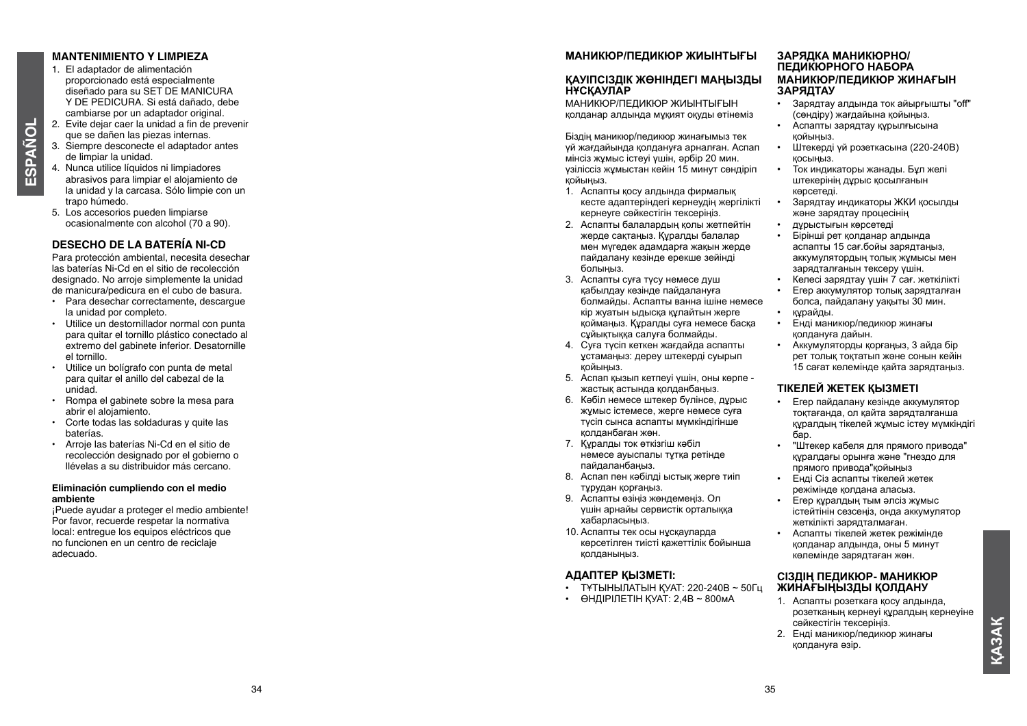## **MANTENIMIENT O Y LIMPIEZA**

1. El adaptador de alimentación proporcionado está especialmente diseñado para su SET DE MA Y DE PEDICURA. Si está dañado, debe cambiarse por un adaptador original. 2. Evite dejar caer la unidad a fin de prevenir

- que se dañen las piezas internas. 3. Siempre desconecte el adaptador antes
- de limpiar la unidad. 4. Nunca utilice líquidos ni limpiadores abrasivos para limpiar el alojamiento de la unidad y la carcasa. Sólo limpie con un trapo húmedo.
- 5. Los accesorios pueden limpiarse ocasionalmente con alcohol (70 a 90).

#### **DESECH O DE LA BATERÍA NI-CD**

Para protección ambiental, necesita desechar las baterías Ni-Cd en el sitio de recolección designado. No arroje simplemente la unidad de manicura/pedicura en el cubo de basura.

- Para desechar correctamente, descargue la unidad por completo.
- Utilice un destornillador normal con punta para quitar el tornillo plástico conectado al extremo del gabinete inferior. Desatornille el tornillo.
- Utilice un bolígrafo con punta de metal para quitar el anillo del cabezal de la unidad.
- Rompa el gabinete sobre la mesa para abrir el alojamiento.
- Corte todas las soldaduras y quite las baterías.
- Arroje las baterías Ni-Cd en el sitio de recolección designado por el gobierno o llévelas a su distribuidor más cercano.

#### **Eliminación cumpliendo con el medio ambiente**

¡Puede ayudar a proteger el medio ambiente! Por favor, recuerde respetar la normativa local: entregue los equipos eléctricos que no funcionen en un centro de reciclaje adecuado.

#### **МАНИКЮР/ПЕДИКЮР ЖИЫНТЫҒЫ**

#### **ҚАУІПСІ ЗДІК ЖӨНІНДЕГІ МАҢЫ ЗДЫ НҰСҚАУЛАР**

МАНИКЮР/ПЕДИКЮР ЖИЫН ТЫҒЫН қолданар алдында мұқият оқуды өтінеміз<br>Біздің маникюр/педикюр жинағымыз тек

үй жағдайында қолдануға арналған. Аспап мінсіз жұмыс істеуі үшін, әрбір 20 мин. үзіліссіз жұмыстан кейін 15 минут сөндіріп қойыңыз.

- 1. Аспапты қосу алдында фирмалық кесте адаптеріндегі кернеудің жергілікті кернеуге сәйкестігін тексеріңіз.
- 2. Аспапты балалардың қолы жетпейтін жерде сақтаңыз. Құралды балалар мен мүгедек адамдарға жақын жерде пайдалану кезінде ерекше зейінді болыңыз.
- 3. Аспапты суға түсу немесе душ қабылдау кезінде пайдалануға болмайды. Аспапты ванна ішіне немесе кір жуатын ыдысқа құлайтын жерге қоймаңыз. Құралды суға немесе басқа сұйықтыққа салуға болмайды.
- 4. Суға түсіп кеткен жағдайда аспапты ұстамаңыз: дереу штекерді суырып қойыңыз.
- 5. Аспап қызып кетпеуі үшін, оны көрпе жастық астында қолданбаңыз.
- 6. Кәбіл немесе штекер бүлінсе, дұрыс жұмыс істемесе, жерге немесе суға түсіп сынса аспапты мүмкіндігінше қолданбаған жөн.
- 7. Құралды ток өткізгіш кәбіл немесе ауыспалы тұтқа ретінде пайдаланбаңыз.
- 8. Аспап пен кәбілді ыстық жерге тиіп тұрудан қорғаңыз.
- 9. Аспапты өзіңіз жөндемеңіз. Ол үшін арнайы сервистік орталыққа хабарласыңыз.
- 10. Аспапты тек осы нұсқауларда көрсетілген тиісті қажеттілік бойынша қолданыңыз.

#### **АДАПТЕР ҚЫ ЗМЕТІ:**

- Т Ұ ТЫНЫЛАТЫН ҚУАТ: 220-240В ~ 50Гц
- ӨНДІРІЛЕТІН ҚУАТ: 2,4В ~ 800м А

# **ЗАРЯДКА МАНИКЮРНО/ ПЕДИКЮРНОГО НАБОРА МАНИКЮР/ПЕДИКЮР ЖИНАҒЫН ЗАРЯДТАУ**

- Зарядтау алдында ток айырғышты "off" (сөндіру) жағдайына қойыңыз.
- Аспапты зарядтау құрылғысына қойыңыз.
- Штекерді үй розеткасына (220-240В) қосыңыз.
- Ток индикаторы жанады. Бұл желі штекерінің дұрыс қосылғанын көрсетеді.
- Зарядтау индикаторы ЖКИ қосылды және зарядтау процесінің
- дұрыстығын көрсетеді
- Бірінші рет қолданар алдында аспапты 15 сағ.бойы зарядтаңыз, аккумулятордың толық жұмысы мен зарядталғанын тексеру үшін.
- Келесі зарядтау үшін 7 сағ. жеткілікті
- Егер аккумулятор толық зарядталған болса, пайдалану уақыты 30 мин.
- 
- Енді маникюр/педикюр жинағы қолдануға дайын.
- Аккумуляторды қорғаңыз, 3 айда бір рет толық тоқтатып және сонын кейін 15 сағат көлемінде қайта зарядтаңыз.

# **ТІКЕЛЕЙ ЖЕТЕК ҚЫ ЗМЕТІ**

- Егер пайдалану кезінде аккумулятор тоқтағанда, ол қайта зарядталғанша құралдың тікелей жұмыс істеу мүмкіндігі бар.
- "Штекер кабеля для прямого привода" құралдағы орынға және "гнездо для прямого привода"қойыңыз
- Енді Сіз аспапты тікелей жетек режімінде қолдана аласыз.
- Егер құралдың тым әлсіз жұмыс істейтінін сезсеңіз, онда аккумулятор жеткілікті зарядталмаған.
- Аспапты тікелей жетек режімінде қолданар алдында, оны 5 минут көлемінде зарядтаған жөн.

#### **СІ ЗДІҢ ПЕДИКЮР- МАНИКЮР ЖИНАҒЫҢЫ ЗДЫ ҚОЛДАНУ**

- 1. Аспапты розеткаға қосу алдында, розетканың кернеуі құралдың кернеуіне сәйкестігін тексеріңіз.
- 2. Енді маникюр/педикюр жинағы қолдануға әзір.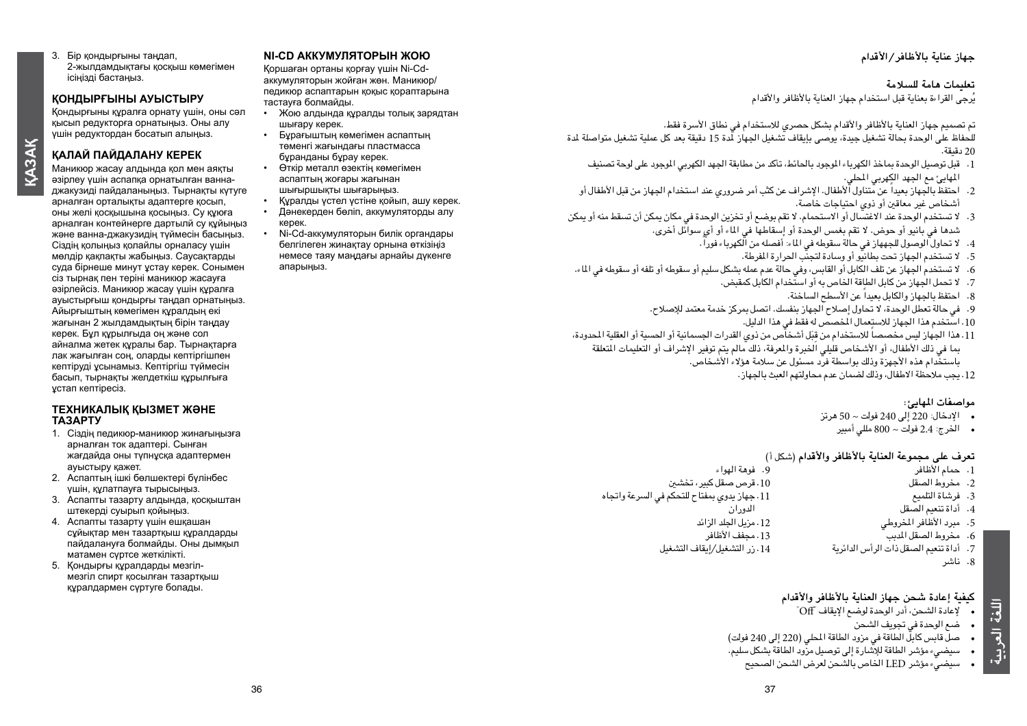3. Бір қондырғыны таңдап, 2-жылдамдықтағы қосқыш көмегімен ісіңізді бастаңыз.

#### **ҚОНДЫРҒЫНЫ АУЫСТЫРУ**

Қондырғыны құралға орнату үшін, оны сәл қысып редукторға орнатыңыз. Оны алу үшін редуктордан босатып алыңыз.

#### **ҚАЛАЙ ПАЙДАЛАНУ КЕРЕК**

**Қа зақ**

Маникюр жасау алдында қол мен аяқты әзірлеу үшін аспапқа орнатылған ваннаджакузиді пайдаланыңыз. Тырнақты күтуге арналған орталықты адаптерге қосып, оны желі қосқышына қосыңыз. Су құюға арналған контейнерге дартылй су құйыңыз және ванна-джакузидің түймесін басыңыз. Сіздің қолыңыз қолайлы орналасу үшін мөлдір қақпақты жабыңыз. Саусақтарды суда бірнеше минут ұстау керек. Сонымен сіз тырнақ пен теріні маникюр жасауға әзірлейсіз. Маникюр жасау үшін құралға ауыстырғыш қондырғы таңдап орнатыңыз. Айырғыштың көмегімен құралдың екі жағынан 2 жылдамдықтың бірін таңдау керек. Бұл құрылғыда оң және сол айналма жетек құралы бар. Тырнақтарға лак жағылған соң, оларды кептіргішпен кептіруді ұсынамыз. Кептіргіш түймесін басып, тырнақты желдеткіш құрылғыға ұстап кептіресіз.

#### **ТЕХНИКАЛЫҚ ҚЫЗМЕТ ЖӘНЕ ТАЗАРТУ**

- 1. Сіздің педикюр-маникюр жинағыңызға арналған ток адаптері. Сынған жағдайда оны түпнұсқа адаптермен ауыстыру қажет.
- 2. Аспаптың ішкі бөлшектері бүлінбес үшін, құлатпауға тырысыңыз.
- 3. Аспапты тазарту алдында, қосқыштан штекерді суырып қойыңыз.
- 4. Аспапты тазарту үшін ешқашан сұйықтар мен тазартқыш құралдарды пайдалануға болмайды. Оны дымқыл матамен сүртсе жеткілікті.
- 5. Қондырғы құралдарды мезгілмезгіл спирт қосылған тазартқыш құралдармен сүртуге болады.

#### **NI-CD АККУМУЛЯТОРЫН ЖОЮ**

Қоршаған ортаны қорғау үшін Ni-Cdаккумуляторын жойған жөн. Маникюр/ педикюр аспаптарын қоқыс қораптарына тастауға болмайды.

- Жою алдында құралды толық зарядтан шығару керек.
- Бұрағыштың көмегімен аспаптың төменгі жағындағы пластмасса бұранданы бұрау керек.
- Өткір металл өзектің көмегімен аспаптың жоғары жағынан шығыршықты шығарыңыз.
- Құралды үстел үстіне қойып, ашу керек.
- Дәнекерден бөліп, аккумуляторды алу керек.
- Ni-Cd-аккумуляторын билік органдары белгілеген жинақтау орнына өткізіңіз немесе таяу маңдағы арнайы дүкенге апарыңыз.

# **جهاز عناية باألظافر/األقدام**

#### **تعليمات هامة للسالمة**

يُرجى القراءة بعناية قبل استخدام جهاز العناية بالأظافر والأقدام

تم تصميم جهاز العناية بالأظافر والأقدام بشكل حصري للاستخدام في نطاق الأسرة فقط.

ل<br>للحفاظ على الوحدة بحالة تشغيل جيدة، يوصى بإيقاف تشغيل الجهاز لدة 15 دقيقة بعد كل عملية تشغيل متواصلة لدة 20 دقيقة.

- .1 قبل توصيل الوحدة مباخذ الكهرباء املوجود باحلائط، تأكد من مطابقة اجلهد الكهربي املوجود على لوحة تصنيف المهايئ مع الجهد الكِهربي المحلي.
- 2. احتفظ بالجهاز بعيدا عن متناول الأطفال. الإشراف عن كثب أمر ضروري عند استخدام الجهاز من قبل الأطفال أو أشخاص غير معاقني أو ذوي احتياجات خاصة.
- 3. الا تستخدم الوحدة عند الاغتسال أو الاستحمام. لا تقم بوضع أو تخزين الوحدة في مكان يمكن أن تسقط منه أو يمكن شدها في بانيو أو حوض. ال تقم بغمس الوحدة أو إسقاطها في املاء أو أي سوائل أخرى.
	- .4 ً ال حتاول الوصول للجههاز في حالة سقوطه في املاء: أفصله من الكهرباء فورا.
		- 5. الا تستخدم الجهاز تحت بطانيو أو وسادة لتجنب الحرارة المؤطة.
- 6. لا تستخدم الجهاز عن تلف الكابل أو القابس، وفي حالة عدم عمله بشكل سليم أو سقوطه أو تلفه أو سقوطه في الماء.
	- .7 ال حتمل اجلهاز من كابل الطاقة اخلاص به أو استخدام الكابل كمقبض.
		- 8. احتفظ بالجهاز والكابل بعيداً عن الأسطح الساخنة.
	- 9. في حالة تعطل الوحدة، لا تحاول إصلاح الجهاز بنفسك. اتصل بمركز خدمة معتمد للإصلاح.
		- .10 استخدم هذا اجلهاز لالستعمال املخصص له فقط في هذا الدليل.
- 11. هذا الجهاز ليس مخصصا للاستخدام من قِبَل أشخاص من ذوي القدرات الجسمانية أو الحسية أو العقلية المحدودة، بما في ذلك الأطفال، أو الأشخاص قليلي الخبرة والمرفة، ذلك مالم يتم توفير الإشراف أو التعليمات المتعلقة باستخدام هذه األجهزة وذلك بواسطة فرد مسئول عن سالمة هؤالء األشخاص.
	- .12 يجب مالحظة االطفال، وذلك لضمان عدم محاولتهم العبث باجلهاز.

#### **مواصفات املهايئ:**

- • اإلدخال: 220 إلى 240 فولت ~ 50 هرتز
	- • اخلرج: 2.4 فولت ~ 800 مللي أمبير

## **تعرف على مجموعة العناية باألظافر واألقدام** )شكل أ(

- .<br>9. فوهة الهواء .10 قرص صقل كبير، تخشني .11 جهاز يدوي مبفتاح للتحكم في السرعة واجتاه الدوران .12 مزيل اجللد الزائد .13 مجفف األظافر .14 زر التشغيل/إيقاف التشغيل .1 حمام األظافر .2 مخروط الصقل .3 فرشاة التلميع .4 أداة تنعيم الصقل .5 مبرد األظافر املخروطي .<br>6 - مخروط الصقل المس .7 أداة تنعيم الصقل ذات الرأس الدائرية
	- .8 ناشر

**اللغة العربية**

#### **كيفية إعادة شحن جهاز العناية باألظافر واألقدام**

- • إلعادة الشحن، أدر الوحدة لوضع اإليقاف "Off"
	- • ضع الوحدة في جتويف الشحن
- حس قابس كابل الطاقة في مزود الطاقة المطي (220 إلى 240 فولت)
- • سيضيء مؤشر الطاقة لإلشارة إلى توصيل مزود الطاقة بشكل سليم.
	- • سيضيء مؤشر LED اخلاص بالشحن لعرض الشحن الصحيح